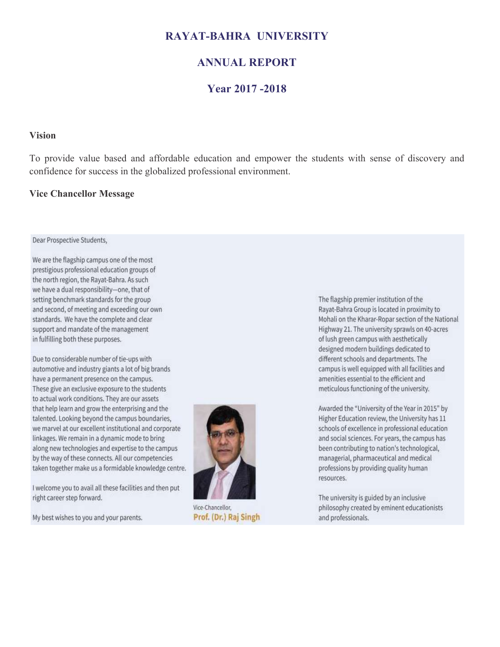#### **RAYAT-BAHRA UNIVERSITY**

#### **ANNUAL REPORT**

#### **Year 2017 -2018**

#### **Vision**

To provide value based and affordable education and empower the students with sense of discovery and confidence for success in the globalized professional environment.

#### **Vice Chancellor Message**

#### Dear Prospective Students,

We are the flagship campus one of the most prestigious professional education groups of the north region, the Rayat-Bahra. As such we have a dual responsibility-one, that of setting benchmark standards for the group and second, of meeting and exceeding our own standards. We have the complete and clear support and mandate of the management in fulfilling both these purposes.

Due to considerable number of tie-ups with automotive and industry giants a lot of big brands have a permanent presence on the campus. These give an exclusive exposure to the students to actual work conditions. They are our assets that help learn and grow the enterprising and the talented. Looking beyond the campus boundaries, we marvel at our excellent institutional and corporate linkages. We remain in a dynamic mode to bring along new technologies and expertise to the campus by the way of these connects. All our competencies taken together make us a formidable knowledge centre.

I welcome you to avail all these facilities and then put right career step forward.

My best wishes to you and your parents.



Vice-Chancellor, Prof. (Dr.) Raj Singh

The flagship premier institution of the Rayat-Bahra Group is located in proximity to Mohali on the Kharar-Ropar section of the National Highway 21. The university sprawls on 40-acres of lush green campus with aesthetically designed modern buildings dedicated to different schools and departments. The campus is well equipped with all facilities and amenities essential to the efficient and meticulous functioning of the university.

Awarded the "University of the Year in 2015" by Higher Education review, the University has 11 schools of excellence in professional education and social sciences. For years, the campus has been contributing to nation's technological, managerial, pharmaceutical and medical professions by providing quality human resources.

The university is guided by an inclusive philosophy created by eminent educationists and professionals.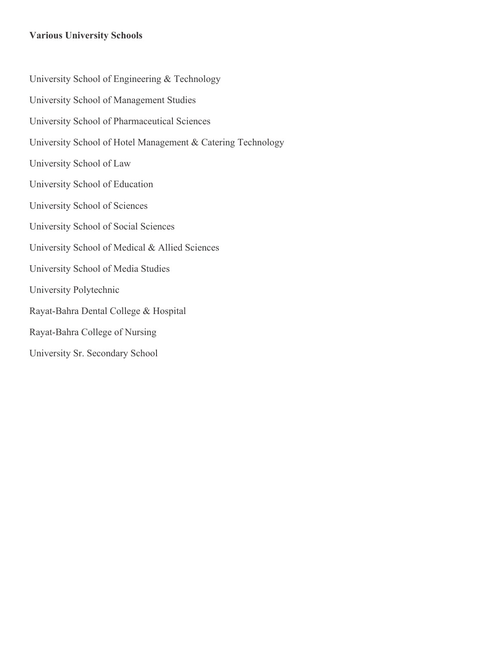#### **Various University Schools**

University School of Engineering & Technology University School of Management Studies University School of Pharmaceutical Sciences University School of Hotel Management & Catering Technology University School of Law University School of Education University School of Sciences University School of Social Sciences University School of Medical & Allied Sciences University School of Media Studies University Polytechnic Rayat-Bahra Dental College & Hospital Rayat-Bahra College of Nursing University Sr. Secondary School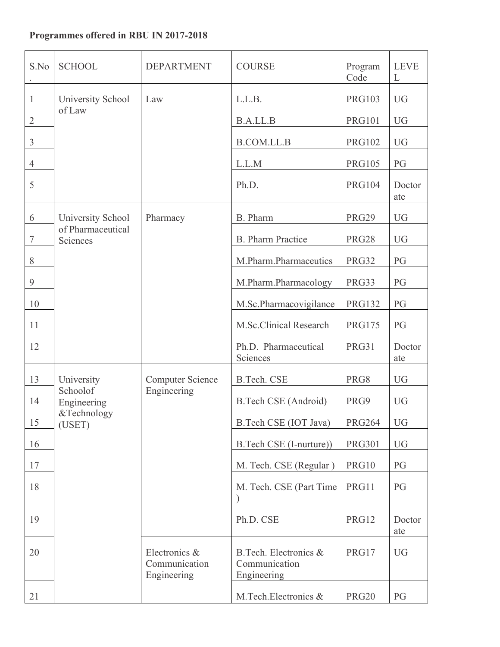### **Programmes offered in RBU IN 2017-2018**

| S.No           | <b>SCHOOL</b>                 | <b>DEPARTMENT</b>                             | <b>COURSE</b>                                         | Program<br>Code | <b>LEVE</b><br>L |
|----------------|-------------------------------|-----------------------------------------------|-------------------------------------------------------|-----------------|------------------|
| $\mathbf{1}$   | University School             | Law                                           | L.L.B.                                                | <b>PRG103</b>   | <b>UG</b>        |
| $\overline{2}$ | of Law                        |                                               | <b>B.A.LL.B</b>                                       | <b>PRG101</b>   | <b>UG</b>        |
| $\mathfrak{Z}$ |                               |                                               | <b>B.COM.LL.B</b>                                     | <b>PRG102</b>   | <b>UG</b>        |
| $\overline{4}$ |                               |                                               | L.L.M                                                 | <b>PRG105</b>   | PG               |
| 5              |                               |                                               | Ph.D.                                                 | <b>PRG104</b>   | Doctor<br>ate    |
| 6              | University School             | Pharmacy                                      | B. Pharm                                              | <b>PRG29</b>    | <b>UG</b>        |
| $\overline{7}$ | of Pharmaceutical<br>Sciences |                                               | <b>B.</b> Pharm Practice                              | <b>PRG28</b>    | <b>UG</b>        |
| 8              |                               |                                               | M.Pharm.Pharmaceutics                                 | PRG32           | PG               |
| 9              |                               |                                               | M.Pharm.Pharmacology                                  | PRG33           | PG               |
| 10             |                               |                                               | M.Sc.Pharmacovigilance                                | <b>PRG132</b>   | PG               |
| 11             |                               |                                               | M.Sc.Clinical Research                                | <b>PRG175</b>   | PG               |
| 12             |                               |                                               | Ph.D. Pharmaceutical<br>Sciences                      | <b>PRG31</b>    | Doctor<br>ate    |
| 13             | University                    | <b>Computer Science</b>                       | <b>B.Tech. CSE</b>                                    | PRG8            | <b>UG</b>        |
| 14             | Schoolof<br>Engineering       | Engineering                                   | <b>B.Tech CSE</b> (Android)                           | PRG9            | <b>UG</b>        |
| 15             | &Technology<br>(USET)         |                                               | B.Tech CSE (IOT Java)                                 | <b>PRG264</b>   | <b>UG</b>        |
| 16             |                               |                                               | B.Tech CSE (I-nurture))                               | <b>PRG301</b>   | <b>UG</b>        |
| 17             |                               |                                               | M. Tech. CSE (Regular)                                | PRG10           | PG               |
| 18             |                               |                                               | M. Tech. CSE (Part Time                               | PRG11           | PG               |
| 19             |                               |                                               | Ph.D. CSE                                             | PRG12           | Doctor<br>ate    |
| 20             |                               | Electronics &<br>Communication<br>Engineering | B.Tech. Electronics &<br>Communication<br>Engineering | PRG17           | <b>UG</b>        |
| 21             |                               |                                               | M.Tech.Electronics &                                  | <b>PRG20</b>    | PG               |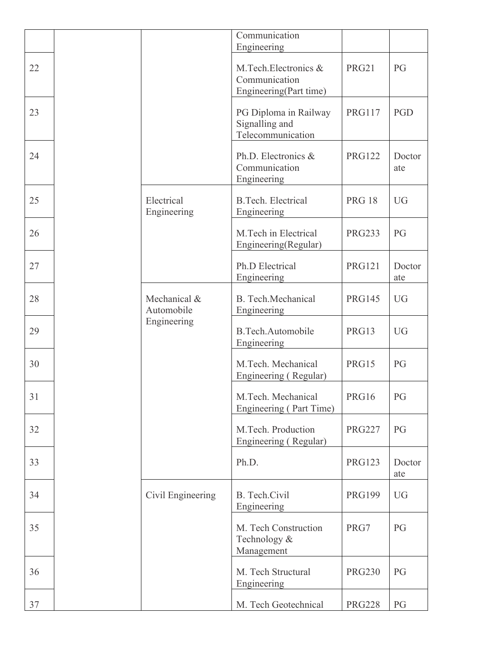|    |                            | Communication<br>Engineering                                    |               |               |
|----|----------------------------|-----------------------------------------------------------------|---------------|---------------|
| 22 |                            | M.Tech.Electronics &<br>Communication<br>Engineering(Part time) | <b>PRG21</b>  | PG            |
| 23 |                            | PG Diploma in Railway<br>Signalling and<br>Telecommunication    | <b>PRG117</b> | PGD           |
| 24 |                            | Ph.D. Electronics &<br>Communication<br>Engineering             | <b>PRG122</b> | Doctor<br>ate |
| 25 | Electrical<br>Engineering  | <b>B.Tech. Electrical</b><br>Engineering                        | <b>PRG 18</b> | <b>UG</b>     |
| 26 |                            | M.Tech in Electrical<br>Engineering(Regular)                    | <b>PRG233</b> | PG            |
| 27 |                            | Ph.D Electrical<br>Engineering                                  | <b>PRG121</b> | Doctor<br>ate |
| 28 | Mechanical &<br>Automobile | <b>B.</b> Tech. Mechanical<br>Engineering                       | <b>PRG145</b> | <b>UG</b>     |
| 29 | Engineering                | <b>B.Tech.Automobile</b><br>Engineering                         | PRG13         | <b>UG</b>     |
| 30 |                            | M.Tech. Mechanical<br>Engineering (Regular)                     | PRG15         | PG            |
| 31 |                            | M.Tech. Mechanical<br>Engineering (Part Time)                   | PRG16         | PG            |
| 32 |                            | M.Tech. Production<br>Engineering (Regular)                     | <b>PRG227</b> | PG            |
| 33 |                            | Ph.D.                                                           | <b>PRG123</b> | Doctor<br>ate |
| 34 | Civil Engineering          | B. Tech.Civil<br>Engineering                                    | <b>PRG199</b> | <b>UG</b>     |
| 35 |                            | M. Tech Construction<br>Technology &<br>Management              | PRG7          | PG            |
| 36 |                            | M. Tech Structural<br>Engineering                               | <b>PRG230</b> | PG            |
| 37 |                            | M. Tech Geotechnical                                            | <b>PRG228</b> | PG            |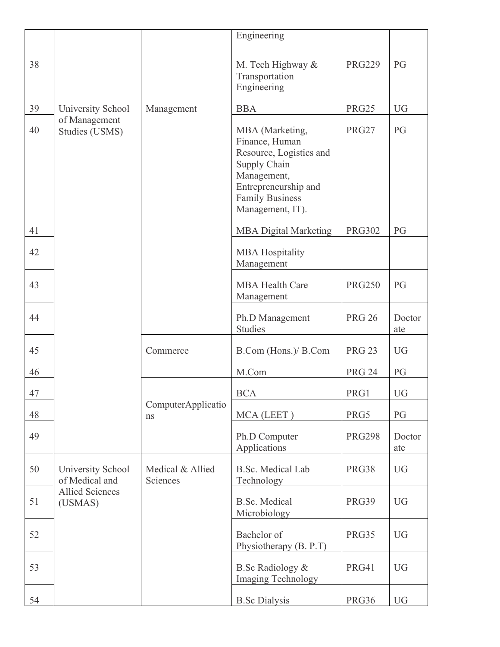|    |                                     |                              | Engineering                                                                                                                                                       |               |               |
|----|-------------------------------------|------------------------------|-------------------------------------------------------------------------------------------------------------------------------------------------------------------|---------------|---------------|
| 38 |                                     |                              | M. Tech Highway &<br>Transportation<br>Engineering                                                                                                                | <b>PRG229</b> | PG            |
| 39 | University School                   | Management                   | <b>BBA</b>                                                                                                                                                        | <b>PRG25</b>  | <b>UG</b>     |
| 40 | of Management<br>Studies (USMS)     |                              | MBA (Marketing,<br>Finance, Human<br>Resource, Logistics and<br>Supply Chain<br>Management,<br>Entrepreneurship and<br><b>Family Business</b><br>Management, IT). | <b>PRG27</b>  | PG            |
| 41 |                                     |                              | <b>MBA Digital Marketing</b>                                                                                                                                      | <b>PRG302</b> | PG            |
| 42 |                                     |                              | <b>MBA Hospitality</b><br>Management                                                                                                                              |               |               |
| 43 |                                     |                              | <b>MBA Health Care</b><br>Management                                                                                                                              | <b>PRG250</b> | PG            |
| 44 |                                     |                              | Ph.D Management<br><b>Studies</b>                                                                                                                                 | <b>PRG 26</b> | Doctor<br>ate |
| 45 |                                     | Commerce                     | B.Com (Hons.)/ B.Com                                                                                                                                              | <b>PRG 23</b> | <b>UG</b>     |
| 46 |                                     |                              | M.Com                                                                                                                                                             | <b>PRG 24</b> | PG            |
| 47 |                                     |                              | <b>BCA</b>                                                                                                                                                        | PRG1          | <b>UG</b>     |
| 48 |                                     | ComputerApplicatio<br>ns     | MCA (LEET)                                                                                                                                                        | PRG5          | PG            |
| 49 |                                     |                              | Ph.D Computer<br>Applications                                                                                                                                     | <b>PRG298</b> | Doctor<br>ate |
| 50 | University School<br>of Medical and | Medical & Allied<br>Sciences | <b>B.Sc. Medical Lab</b><br>Technology                                                                                                                            | PRG38         | <b>UG</b>     |
| 51 | <b>Allied Sciences</b><br>(USMAS)   |                              | <b>B.Sc. Medical</b><br>Microbiology                                                                                                                              | <b>PRG39</b>  | <b>UG</b>     |
| 52 |                                     |                              | Bachelor of<br>Physiotherapy (B. P.T)                                                                                                                             | PRG35         | <b>UG</b>     |
| 53 |                                     |                              | <b>B.Sc Radiology &amp;</b><br><b>Imaging Technology</b>                                                                                                          | <b>PRG41</b>  | <b>UG</b>     |
| 54 |                                     |                              | <b>B.Sc Dialysis</b>                                                                                                                                              | PRG36         | <b>UG</b>     |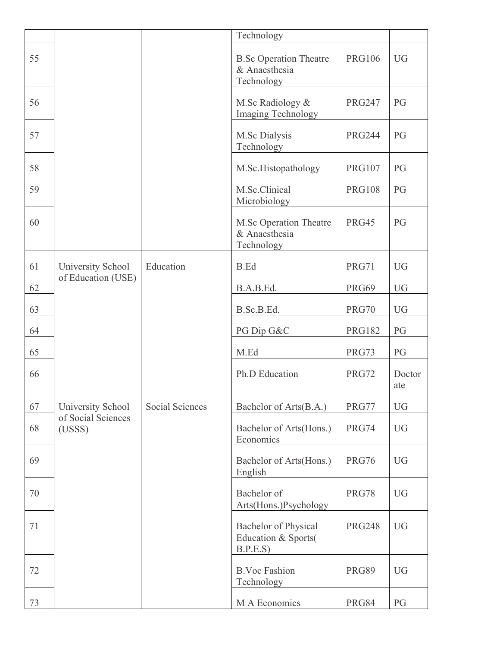|    |                              |                 | Technology                                                     |               |               |
|----|------------------------------|-----------------|----------------------------------------------------------------|---------------|---------------|
| 55 |                              |                 | <b>B.Sc Operation Theatre</b><br>& Anaesthesia<br>Technology   | <b>PRG106</b> | <b>UG</b>     |
| 56 |                              |                 | M.Sc Radiology &<br>Imaging Technology                         | <b>PRG247</b> | PG            |
| 57 |                              |                 | M.Sc Dialysis<br>Technology                                    | <b>PRG244</b> | PG            |
| 58 |                              |                 | M.Sc.Histopathology                                            | <b>PRG107</b> | PG            |
| 59 |                              |                 | M.Sc.Clinical<br>Microbiology                                  | <b>PRG108</b> | PG            |
| 60 |                              |                 | M.Sc Operation Theatre<br>& Anaesthesia<br>Technology          | <b>PRG45</b>  | PG            |
| 61 | University School            | Education       | B.Ed                                                           | <b>PRG71</b>  | <b>UG</b>     |
| 62 | of Education (USE)           |                 | B.A.B.Ed.                                                      | <b>PRG69</b>  | <b>UG</b>     |
| 63 |                              |                 | B.Sc.B.Ed.                                                     | <b>PRG70</b>  | <b>UG</b>     |
| 64 |                              |                 | PG Dip G&C                                                     | <b>PRG182</b> | PG            |
| 65 |                              |                 | M.Ed                                                           | PRG73         | PG            |
| 66 |                              |                 | Ph.D Education                                                 | <b>PRG72</b>  | Doctor<br>ate |
| 67 | University School            | Social Sciences | Bachelor of Arts(B.A.)                                         | PRG77         | <b>UG</b>     |
| 68 | of Social Sciences<br>(USSS) |                 | Bachelor of Arts(Hons.)<br>Economics                           | <b>PRG74</b>  | <b>UG</b>     |
| 69 |                              |                 | Bachelor of Arts(Hons.)<br>English                             | <b>PRG76</b>  | <b>UG</b>     |
| 70 |                              |                 | Bachelor of<br>Arts(Hons.)Psychology                           | <b>PRG78</b>  | <b>UG</b>     |
| 71 |                              |                 | <b>Bachelor of Physical</b><br>Education & Sports(<br>B.P.E.S) | <b>PRG248</b> | <b>UG</b>     |
| 72 |                              |                 | <b>B.Voc Fashion</b><br>Technology                             | <b>PRG89</b>  | <b>UG</b>     |
| 73 |                              |                 | M A Economics                                                  | <b>PRG84</b>  | PG            |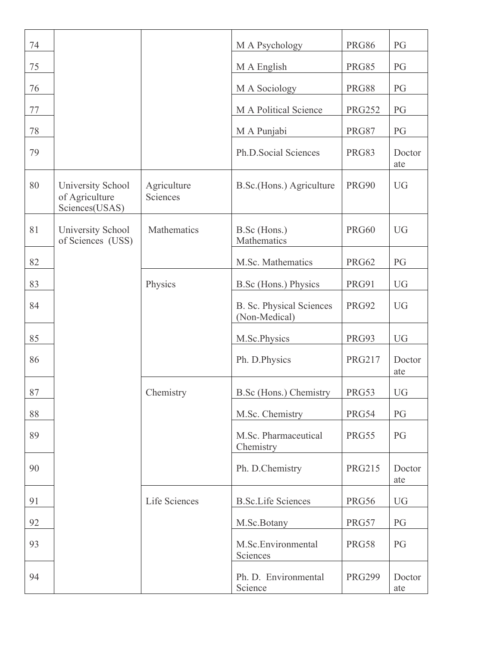| 74 |                                                       |                         | M A Psychology                                   | <b>PRG86</b>  | PG            |
|----|-------------------------------------------------------|-------------------------|--------------------------------------------------|---------------|---------------|
| 75 |                                                       |                         | M A English                                      | <b>PRG85</b>  | PG            |
| 76 |                                                       |                         | M A Sociology                                    | <b>PRG88</b>  | PG            |
| 77 |                                                       |                         | M A Political Science                            | <b>PRG252</b> | PG            |
| 78 |                                                       |                         | M A Punjabi                                      | <b>PRG87</b>  | PG            |
| 79 |                                                       |                         | Ph.D.Social Sciences                             | <b>PRG83</b>  | Doctor<br>ate |
| 80 | University School<br>of Agriculture<br>Sciences(USAS) | Agriculture<br>Sciences | B.Sc.(Hons.) Agriculture                         | <b>PRG90</b>  | <b>UG</b>     |
| 81 | University School<br>of Sciences (USS)                | Mathematics             | B.Sc (Hons.)<br>Mathematics                      | <b>PRG60</b>  | <b>UG</b>     |
| 82 |                                                       |                         | M.Sc. Mathematics                                | <b>PRG62</b>  | PG            |
| 83 |                                                       | Physics                 | B.Sc (Hons.) Physics                             | <b>PRG91</b>  | <b>UG</b>     |
| 84 |                                                       |                         | <b>B. Sc. Physical Sciences</b><br>(Non-Medical) | <b>PRG92</b>  | <b>UG</b>     |
| 85 |                                                       |                         | M.Sc.Physics                                     | PRG93         | <b>UG</b>     |
| 86 |                                                       |                         | Ph. D.Physics                                    | <b>PRG217</b> | Doctor<br>ate |
| 87 |                                                       | Chemistry               | B.Sc (Hons.) Chemistry                           | PRG53         | <b>UG</b>     |
| 88 |                                                       |                         | M.Sc. Chemistry                                  | PRG54         | PG            |
| 89 |                                                       |                         | M.Sc. Pharmaceutical<br>Chemistry                | <b>PRG55</b>  | PG            |
| 90 |                                                       |                         | Ph. D.Chemistry                                  | <b>PRG215</b> | Doctor<br>ate |
| 91 |                                                       | Life Sciences           | <b>B.Sc.Life Sciences</b>                        | <b>PRG56</b>  | <b>UG</b>     |
| 92 |                                                       |                         | M.Sc.Botany                                      | PRG57         | PG            |
| 93 |                                                       |                         | M.Sc.Environmental<br>Sciences                   | <b>PRG58</b>  | PG            |
| 94 |                                                       |                         | Ph. D. Environmental<br>Science                  | <b>PRG299</b> | Doctor<br>ate |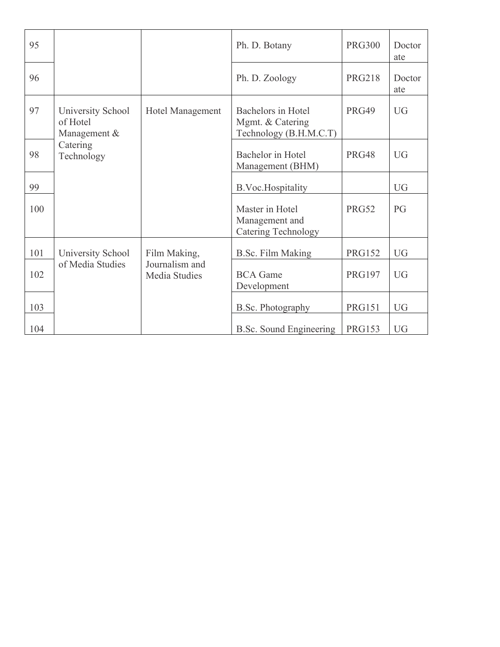| 95  |                                                     |                         | Ph. D. Botany                                                           | <b>PRG300</b> | Doctor<br>ate |
|-----|-----------------------------------------------------|-------------------------|-------------------------------------------------------------------------|---------------|---------------|
| 96  |                                                     |                         | Ph. D. Zoology                                                          | <b>PRG218</b> | Doctor<br>ate |
| 97  | University School<br>of Hotel<br>Management &       | <b>Hotel Management</b> | <b>Bachelors in Hotel</b><br>Mgmt. & Catering<br>Technology (B.H.M.C.T) | <b>PRG49</b>  | <b>UG</b>     |
| 98  | Catering<br>Technology                              |                         | Bachelor in Hotel<br>Management (BHM)                                   | PRG48         | <b>UG</b>     |
| 99  |                                                     |                         | <b>B.Voc.Hospitality</b>                                                |               | <b>UG</b>     |
| 100 |                                                     |                         | Master in Hotel<br>Management and<br><b>Catering Technology</b>         | <b>PRG52</b>  | PG            |
| 101 | University School                                   | Film Making,            | B.Sc. Film Making                                                       | <b>PRG152</b> | <b>UG</b>     |
| 102 | of Media Studies<br>Journalism and<br>Media Studies |                         | <b>BCA</b> Game<br>Development                                          | <b>PRG197</b> | <b>UG</b>     |
| 103 |                                                     |                         | <b>B.Sc. Photography</b>                                                | <b>PRG151</b> | <b>UG</b>     |
| 104 |                                                     |                         | <b>B.Sc.</b> Sound Engineering                                          | <b>PRG153</b> | <b>UG</b>     |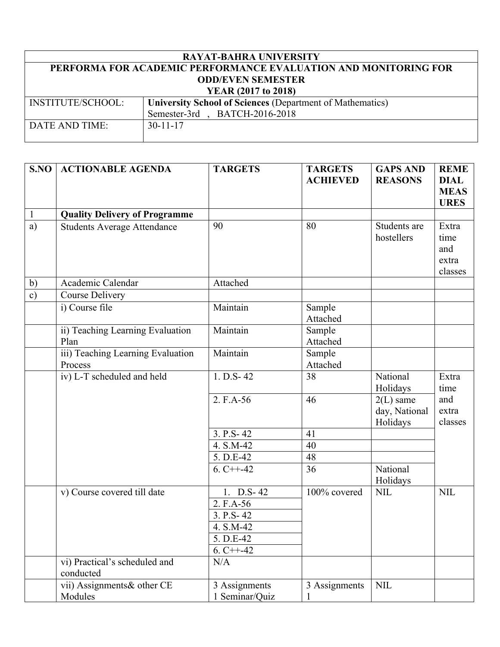| <b>RAYAT-BAHRA UNIVERSITY</b>                                   |                                                                  |  |  |  |  |  |
|-----------------------------------------------------------------|------------------------------------------------------------------|--|--|--|--|--|
| PERFORMA FOR ACADEMIC PERFORMANCE EVALUATION AND MONITORING FOR |                                                                  |  |  |  |  |  |
|                                                                 | <b>ODD/EVEN SEMESTER</b>                                         |  |  |  |  |  |
|                                                                 | YEAR (2017 to 2018)                                              |  |  |  |  |  |
| <b>INSTITUTE/SCHOOL:</b>                                        | <b>University School of Sciences (Department of Mathematics)</b> |  |  |  |  |  |
|                                                                 | Semester-3rd, BATCH-2016-2018                                    |  |  |  |  |  |
| DATE AND TIME:                                                  | $30 - 11 - 17$                                                   |  |  |  |  |  |
|                                                                 |                                                                  |  |  |  |  |  |

| S.NO          | <b>ACTIONABLE AGENDA</b>                     | <b>TARGETS</b>                  | <b>TARGETS</b><br><b>ACHIEVED</b> | <b>GAPS AND</b><br><b>REASONS</b>        | <b>REME</b><br><b>DIAL</b><br><b>MEAS</b><br><b>URES</b> |
|---------------|----------------------------------------------|---------------------------------|-----------------------------------|------------------------------------------|----------------------------------------------------------|
| $\mathbf{1}$  | <b>Quality Delivery of Programme</b>         |                                 |                                   |                                          |                                                          |
| a)            | <b>Students Average Attendance</b>           | 90                              | 80                                | Students are<br>hostellers               | Extra<br>time<br>and<br>extra<br>classes                 |
| b)            | Academic Calendar                            | Attached                        |                                   |                                          |                                                          |
| $\mathbf{c})$ | <b>Course Delivery</b>                       |                                 |                                   |                                          |                                                          |
|               | i) Course file                               | Maintain                        | Sample<br>Attached                |                                          |                                                          |
|               | ii) Teaching Learning Evaluation<br>Plan     | Maintain                        | Sample<br>Attached                |                                          |                                                          |
|               | iii) Teaching Learning Evaluation<br>Process | Maintain                        | Sample<br>Attached                |                                          |                                                          |
|               | iv) L-T scheduled and held                   | $1. D.S-42$                     | 38                                | National<br>Holidays                     | Extra<br>time                                            |
|               |                                              | 2. F.A-56                       | 46                                | $2(L)$ same<br>day, National<br>Holidays | and<br>extra<br>classes                                  |
|               |                                              | 3. P.S - 42                     | 41                                |                                          |                                                          |
|               |                                              | 4. S.M-42                       | 40                                |                                          |                                                          |
|               |                                              | 5. D.E-42                       | 48                                |                                          |                                                          |
|               |                                              | $6. C++-42$                     | 36                                | National<br>Holidays                     |                                                          |
|               | v) Course covered till date                  | 1. D.S-42                       | 100% covered                      | <b>NIL</b>                               | <b>NIL</b>                                               |
|               |                                              | 2. F.A-56                       |                                   |                                          |                                                          |
|               |                                              | $3. P.S-42$                     |                                   |                                          |                                                          |
|               |                                              | 4. S.M-42                       |                                   |                                          |                                                          |
|               |                                              | 5. D.E-42                       |                                   |                                          |                                                          |
|               |                                              | $6. C++-42$                     |                                   |                                          |                                                          |
|               | vi) Practical's scheduled and<br>conducted   | N/A                             |                                   |                                          |                                                          |
|               | vii) Assignments& other CE<br>Modules        | 3 Assignments<br>1 Seminar/Quiz | 3 Assignments                     | <b>NIL</b>                               |                                                          |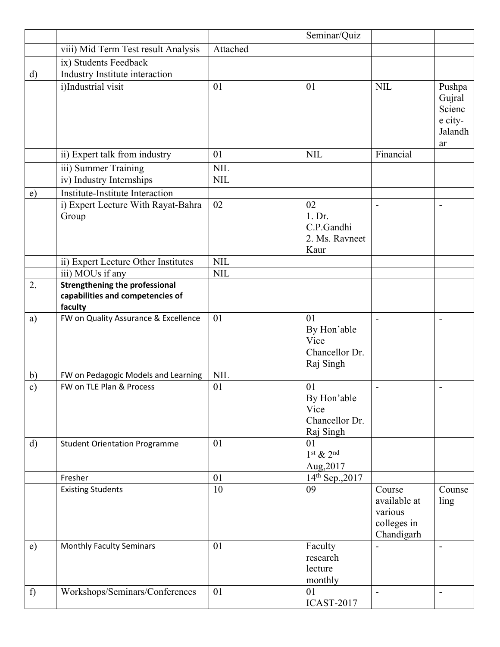|               |                                                                                      |            | Seminar/Quiz                                             |                                                                |                                                        |
|---------------|--------------------------------------------------------------------------------------|------------|----------------------------------------------------------|----------------------------------------------------------------|--------------------------------------------------------|
|               | viii) Mid Term Test result Analysis                                                  | Attached   |                                                          |                                                                |                                                        |
|               | ix) Students Feedback                                                                |            |                                                          |                                                                |                                                        |
| $\mathbf{d}$  | Industry Institute interaction                                                       |            |                                                          |                                                                |                                                        |
|               | i)Industrial visit                                                                   | 01         | 01                                                       | <b>NIL</b>                                                     | Pushpa<br>Gujral<br>Scienc<br>e city-<br>Jalandh<br>ar |
|               | ii) Expert talk from industry                                                        | 01         | <b>NIL</b>                                               | Financial                                                      |                                                        |
|               | iii) Summer Training                                                                 | <b>NIL</b> |                                                          |                                                                |                                                        |
|               | iv) Industry Internships                                                             | <b>NIL</b> |                                                          |                                                                |                                                        |
| $\epsilon$ )  | Institute-Institute Interaction                                                      |            |                                                          |                                                                |                                                        |
|               | i) Expert Lecture With Rayat-Bahra<br>Group                                          | 02         | 02<br>1. Dr.<br>C.P.Gandhi<br>2. Ms. Ravneet<br>Kaur     | $\overline{a}$                                                 |                                                        |
|               | ii) Expert Lecture Other Institutes                                                  | <b>NIL</b> |                                                          |                                                                |                                                        |
|               | iii) MOUs if any                                                                     | <b>NIL</b> |                                                          |                                                                |                                                        |
| 2.            | <b>Strengthening the professional</b><br>capabilities and competencies of<br>faculty |            |                                                          |                                                                |                                                        |
| a)            | FW on Quality Assurance & Excellence                                                 | 01         | 01<br>By Hon'able<br>Vice<br>Chancellor Dr.<br>Raj Singh | $\blacksquare$                                                 |                                                        |
| b)            | FW on Pedagogic Models and Learning                                                  | <b>NIL</b> |                                                          |                                                                |                                                        |
| $\mathbf{c})$ | FW on TLE Plan & Process                                                             | 01         | 01<br>By Hon'able<br>Vice<br>Chancellor Dr.<br>Raj Singh | $\overline{a}$                                                 |                                                        |
| $\mathbf{d}$  | <b>Student Orientation Programme</b>                                                 | 01         | 01<br>$1st$ & $2nd$<br>Aug, 2017                         |                                                                |                                                        |
|               | Fresher                                                                              | 01         | 14th Sep., 2017                                          |                                                                |                                                        |
|               | <b>Existing Students</b>                                                             | 10         | 09                                                       | Course<br>available at<br>various<br>colleges in<br>Chandigarh | Counse<br>ling                                         |
| e)            | <b>Monthly Faculty Seminars</b>                                                      | 01         | Faculty<br>research<br>lecture<br>monthly                |                                                                | ÷                                                      |
| f)            | Workshops/Seminars/Conferences                                                       | 01         | 01<br><b>ICAST-2017</b>                                  | $\qquad \qquad \blacksquare$                                   | -                                                      |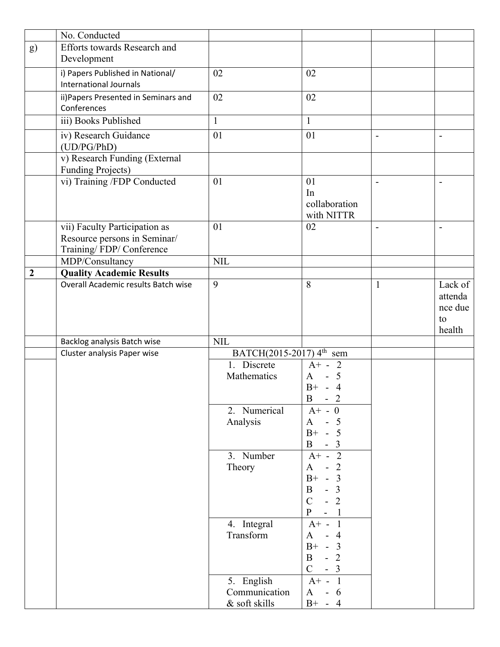|                | No. Conducted                                                 |                                      |                                                              |                              |                          |
|----------------|---------------------------------------------------------------|--------------------------------------|--------------------------------------------------------------|------------------------------|--------------------------|
| g)             | <b>Efforts towards Research and</b>                           |                                      |                                                              |                              |                          |
|                | Development                                                   |                                      |                                                              |                              |                          |
|                | i) Papers Published in National/                              | 02                                   | 02                                                           |                              |                          |
|                | <b>International Journals</b>                                 |                                      |                                                              |                              |                          |
|                | ii) Papers Presented in Seminars and                          | 02                                   | 02                                                           |                              |                          |
|                | Conferences                                                   |                                      |                                                              |                              |                          |
|                | iii) Books Published                                          | $\mathbf{1}$                         | $\mathbf{1}$                                                 |                              |                          |
|                |                                                               |                                      |                                                              |                              |                          |
|                | iv) Research Guidance<br>(UD/PG/PhD)                          | 01                                   | 01                                                           | $\overline{\phantom{m}}$     | $\overline{\phantom{0}}$ |
|                | v) Research Funding (External                                 |                                      |                                                              |                              |                          |
|                | <b>Funding Projects)</b>                                      |                                      |                                                              |                              |                          |
|                | vi) Training /FDP Conducted                                   | 01                                   | 01                                                           | $\overline{\phantom{a}}$     | $\overline{\phantom{0}}$ |
|                |                                                               |                                      | In<br>collaboration                                          |                              |                          |
|                |                                                               |                                      | with NITTR                                                   |                              |                          |
|                |                                                               | 01                                   | 02                                                           |                              |                          |
|                | vii) Faculty Participation as<br>Resource persons in Seminar/ |                                      |                                                              | $\qquad \qquad \blacksquare$ | $\overline{\phantom{a}}$ |
|                | Training/FDP/Conference                                       |                                      |                                                              |                              |                          |
|                | MDP/Consultancy                                               | <b>NIL</b>                           |                                                              |                              |                          |
| $\overline{2}$ | <b>Quality Academic Results</b>                               |                                      |                                                              |                              |                          |
|                | Overall Academic results Batch wise                           | 9                                    | 8                                                            | 1                            | Lack of                  |
|                |                                                               |                                      |                                                              |                              | attenda                  |
|                |                                                               |                                      |                                                              |                              | nce due                  |
|                |                                                               |                                      |                                                              |                              | to                       |
|                |                                                               |                                      |                                                              |                              | health                   |
|                | Backlog analysis Batch wise                                   | NIL                                  |                                                              |                              |                          |
|                | Cluster analysis Paper wise                                   | BATCH(2015-2017) 4 <sup>th</sup> sem |                                                              |                              |                          |
|                |                                                               | 1. Discrete                          | $A^+ - 2$                                                    |                              |                          |
|                |                                                               | Mathematics                          | $A - 5$                                                      |                              |                          |
|                |                                                               |                                      | $B+ - 4$                                                     |                              |                          |
|                |                                                               |                                      | B<br>2<br>-                                                  |                              |                          |
|                |                                                               | 2. Numerical                         | $A^+ - 0$                                                    |                              |                          |
|                |                                                               | Analysis                             | 5<br>A                                                       |                              |                          |
|                |                                                               |                                      | $B+ - 5$                                                     |                              |                          |
|                |                                                               |                                      | $\mathbf{B}$<br>$-3$                                         |                              |                          |
|                |                                                               | 3. Number                            | $\overline{2}$<br>$A^+$ -                                    |                              |                          |
|                |                                                               | Theory                               | $\overline{2}$<br>A                                          |                              |                          |
|                |                                                               |                                      | $-3$<br>$B+$                                                 |                              |                          |
|                |                                                               |                                      | $\overline{3}$<br>B                                          |                              |                          |
|                |                                                               |                                      | $\overline{2}$<br>$\overline{C}$                             |                              |                          |
|                |                                                               |                                      | P<br>$\overline{\phantom{a}}$<br>$\overline{\phantom{a}}$    |                              |                          |
|                |                                                               | 4. Integral                          | $\mathbf{1}$<br>$A^+$ -                                      |                              |                          |
|                |                                                               | Transform                            | $\overline{4}$<br>A                                          |                              |                          |
|                |                                                               |                                      | $B+ - 3$<br>$\overline{2}$<br>$\mathbf{B}$<br>$\overline{a}$ |                              |                          |
|                |                                                               |                                      | $\mathbf C$<br>$-3$                                          |                              |                          |
|                |                                                               |                                      | $\overline{1}$                                               |                              |                          |
|                |                                                               | 5. English<br>Communication          | $A^+$ -<br>$-6$<br>$\mathbf{A}$                              |                              |                          |
|                |                                                               | & soft skills                        | $B+ - 4$                                                     |                              |                          |
|                |                                                               |                                      |                                                              |                              |                          |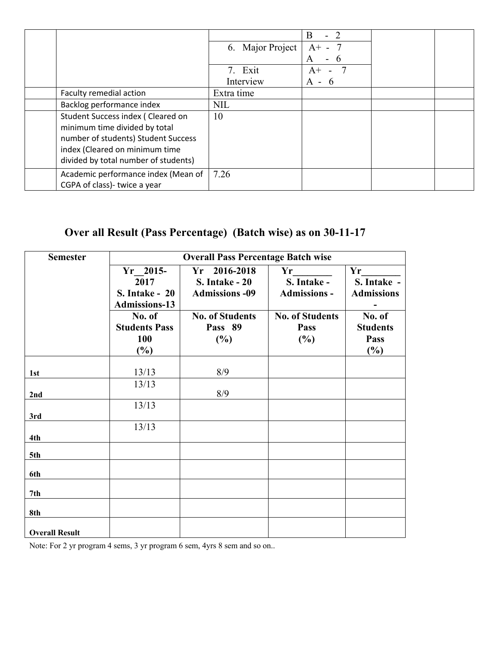|                                                                                                                                                                                     | 6. Major Project     | B<br>$\blacksquare$<br>$A^+$<br>$\sim$ |  |
|-------------------------------------------------------------------------------------------------------------------------------------------------------------------------------------|----------------------|----------------------------------------|--|
|                                                                                                                                                                                     | 7. Exit<br>Interview | A<br>O<br>$A^+$<br>A - 6               |  |
| Faculty remedial action                                                                                                                                                             | Extra time           |                                        |  |
| Backlog performance index                                                                                                                                                           | <b>NIL</b>           |                                        |  |
| Student Success index (Cleared on<br>minimum time divided by total<br>number of students) Student Success<br>index (Cleared on minimum time<br>divided by total number of students) | 10                   |                                        |  |
| Academic performance index (Mean of<br>CGPA of class)- twice a year                                                                                                                 | 7.26                 |                                        |  |

# **Over all Result (Pass Percentage) (Batch wise) as on 30-11-17**

| <b>Semester</b>       | <b>Overall Pass Percentage Batch wise</b> |                        |                        |                   |  |  |  |
|-----------------------|-------------------------------------------|------------------------|------------------------|-------------------|--|--|--|
|                       | $Yr$ 2015-                                | $Yr$ 2016-2018         | Yr                     | Yr                |  |  |  |
|                       | 2017                                      | <b>S. Intake - 20</b>  | S. Intake -            | S. Intake -       |  |  |  |
|                       | <b>S. Intake - 20</b>                     | <b>Admissions -09</b>  | <b>Admissions -</b>    | <b>Admissions</b> |  |  |  |
|                       | <b>Admissions-13</b>                      |                        |                        |                   |  |  |  |
|                       | No. of                                    | <b>No. of Students</b> | <b>No. of Students</b> | No. of            |  |  |  |
|                       | <b>Students Pass</b>                      | Pass 89                | Pass                   | <b>Students</b>   |  |  |  |
|                       | 100<br>$(\%)$                             | (%)                    | (%)                    | Pass<br>(%)       |  |  |  |
|                       |                                           |                        |                        |                   |  |  |  |
| 1st                   | 13/13                                     | 8/9                    |                        |                   |  |  |  |
|                       | 13/13                                     |                        |                        |                   |  |  |  |
| 2nd                   |                                           | 8/9                    |                        |                   |  |  |  |
|                       | 13/13                                     |                        |                        |                   |  |  |  |
| 3rd                   |                                           |                        |                        |                   |  |  |  |
|                       | 13/13                                     |                        |                        |                   |  |  |  |
| 4th                   |                                           |                        |                        |                   |  |  |  |
| 5th                   |                                           |                        |                        |                   |  |  |  |
| 6th                   |                                           |                        |                        |                   |  |  |  |
| 7th                   |                                           |                        |                        |                   |  |  |  |
|                       |                                           |                        |                        |                   |  |  |  |
| 8th                   |                                           |                        |                        |                   |  |  |  |
| <b>Overall Result</b> |                                           |                        |                        |                   |  |  |  |

Note: For 2 yr program 4 sems, 3 yr program 6 sem, 4yrs 8 sem and so on..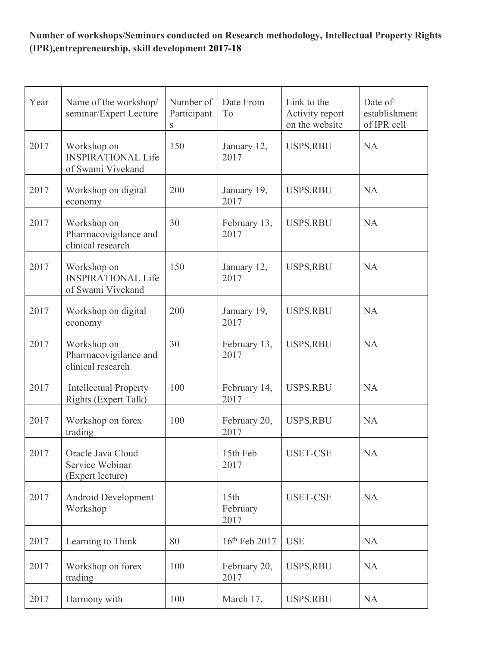#### **Number of workshops/Seminars conducted on Research methodology, Intellectual Property Rights (IPR),entrepreneurship, skill development 2017-18**

| Year | Name of the workshop/<br>seminar/Expert Lecture               | Number of<br>Participant<br>${\bf S}$ | Date From -<br>To        | Link to the<br>Activity report<br>on the website | Date of<br>establishment<br>of IPR cell |
|------|---------------------------------------------------------------|---------------------------------------|--------------------------|--------------------------------------------------|-----------------------------------------|
| 2017 | Workshop on<br><b>INSPIRATIONAL Life</b><br>of Swami Vivekand | 150                                   | January 12,<br>2017      | USPS, RBU                                        | <b>NA</b>                               |
| 2017 | Workshop on digital<br>economy                                | 200                                   | January 19,<br>2017      | USPS, RBU                                        | <b>NA</b>                               |
| 2017 | Workshop on<br>Pharmacovigilance and<br>clinical research     | 30                                    | February 13,<br>2017     | USPS, RBU                                        | <b>NA</b>                               |
| 2017 | Workshop on<br><b>INSPIRATIONAL Life</b><br>of Swami Vivekand | 150                                   | January 12,<br>2017      | USPS, RBU                                        | <b>NA</b>                               |
| 2017 | Workshop on digital<br>economy                                | 200                                   | January 19,<br>2017      | USPS, RBU                                        | <b>NA</b>                               |
| 2017 | Workshop on<br>Pharmacovigilance and<br>clinical research     | 30                                    | February 13,<br>2017     | <b>USPS,RBU</b>                                  | <b>NA</b>                               |
| 2017 | <b>Intellectual Property</b><br><b>Rights (Expert Talk)</b>   | 100                                   | February 14,<br>2017     | <b>USPS,RBU</b>                                  | <b>NA</b>                               |
| 2017 | Workshop on forex<br>trading                                  | 100                                   | February 20,<br>2017     | <b>USPS,RBU</b>                                  | <b>NA</b>                               |
| 2017 | Oracle Java Cloud<br>Service Webinar<br>(Expert lecture)      |                                       | 15th Feb<br>2017         | <b>USET-CSE</b>                                  | <b>NA</b>                               |
| 2017 | Android Development<br>Workshop                               |                                       | 15th<br>February<br>2017 | <b>USET-CSE</b>                                  | <b>NA</b>                               |
| 2017 | Learning to Think                                             | 80                                    | 16th Feb 2017            | <b>USE</b>                                       | <b>NA</b>                               |
| 2017 | Workshop on forex<br>trading                                  | 100                                   | February 20,<br>2017     | <b>USPS,RBU</b>                                  | <b>NA</b>                               |
| 2017 | Harmony with                                                  | 100                                   | March 17,                | USPS,RBU                                         | <b>NA</b>                               |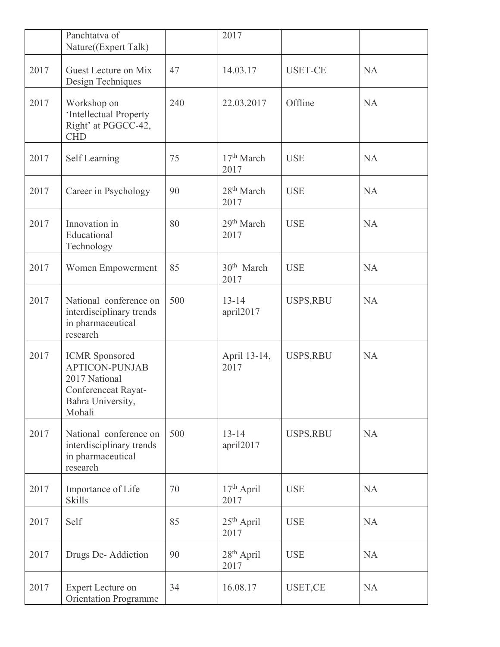|      | Panchtatva of<br>Nature((Expert Talk)                                                                                 |     | 2017                           |                 |           |
|------|-----------------------------------------------------------------------------------------------------------------------|-----|--------------------------------|-----------------|-----------|
| 2017 | Guest Lecture on Mix<br>Design Techniques                                                                             | 47  | 14.03.17                       | <b>USET-CE</b>  | <b>NA</b> |
| 2017 | Workshop on<br>'Intellectual Property<br>Right' at PGGCC-42,<br><b>CHD</b>                                            | 240 | 22.03.2017                     | Offline         | <b>NA</b> |
| 2017 | Self Learning                                                                                                         | 75  | 17 <sup>th</sup> March<br>2017 | <b>USE</b>      | <b>NA</b> |
| 2017 | Career in Psychology                                                                                                  | 90  | $28th$ March<br>2017           | <b>USE</b>      | <b>NA</b> |
| 2017 | Innovation in<br>Educational<br>Technology                                                                            | 80  | 29 <sup>th</sup> March<br>2017 | <b>USE</b>      | <b>NA</b> |
| 2017 | Women Empowerment                                                                                                     | 85  | $30th$ March<br>2017           | <b>USE</b>      | <b>NA</b> |
| 2017 | National conference on<br>interdisciplinary trends<br>in pharmaceutical<br>research                                   | 500 | $13 - 14$<br>april2017         | <b>USPS,RBU</b> | <b>NA</b> |
| 2017 | <b>ICMR</b> Sponsored<br><b>APTICON-PUNJAB</b><br>2017 National<br>Conferenceat Rayat-<br>Bahra University,<br>Mohali |     | April 13-14,<br>2017           | USPS, RBU       | <b>NA</b> |
| 2017 | National conference on<br>interdisciplinary trends<br>in pharmaceutical<br>research                                   | 500 | $13 - 14$<br>april2017         | USPS, RBU       | <b>NA</b> |
| 2017 | Importance of Life<br><b>Skills</b>                                                                                   | 70  | $17th$ April<br>2017           | <b>USE</b>      | <b>NA</b> |
| 2017 | Self                                                                                                                  | 85  | $25th$ April<br>2017           | <b>USE</b>      | <b>NA</b> |
| 2017 | Drugs De-Addiction                                                                                                    | 90  | $28th$ April<br>2017           | <b>USE</b>      | <b>NA</b> |
| 2017 | <b>Expert Lecture on</b><br><b>Orientation Programme</b>                                                              | 34  | 16.08.17                       | USET,CE         | <b>NA</b> |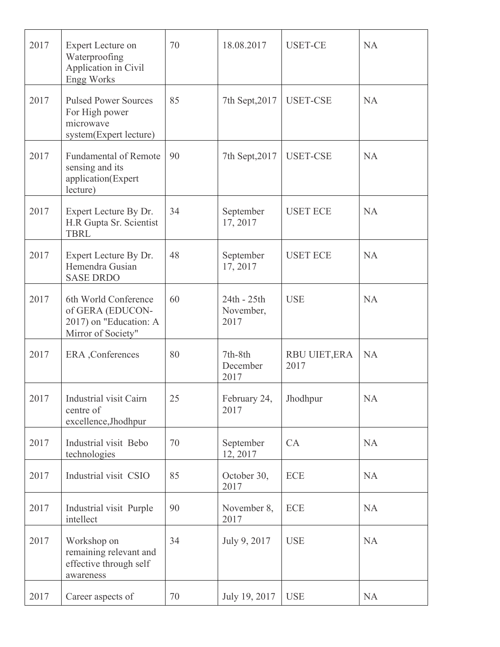| 2017 | Expert Lecture on<br>Waterproofing<br>Application in Civil<br><b>Engg Works</b>          | 70 | 18.08.2017                       | <b>USET-CE</b>        | <b>NA</b> |
|------|------------------------------------------------------------------------------------------|----|----------------------------------|-----------------------|-----------|
| 2017 | <b>Pulsed Power Sources</b><br>For High power<br>microwave<br>system(Expert lecture)     | 85 | 7th Sept, 2017                   | <b>USET-CSE</b>       | <b>NA</b> |
| 2017 | <b>Fundamental of Remote</b><br>sensing and its<br>application(Expert<br>lecture)        | 90 | 7th Sept, 2017                   | <b>USET-CSE</b>       | <b>NA</b> |
| 2017 | Expert Lecture By Dr.<br>H.R Gupta Sr. Scientist<br><b>TBRL</b>                          | 34 | September<br>17, 2017            | <b>USET ECE</b>       | <b>NA</b> |
| 2017 | Expert Lecture By Dr.<br>Hemendra Gusian<br><b>SASE DRDO</b>                             | 48 | September<br>17, 2017            | <b>USET ECE</b>       | <b>NA</b> |
| 2017 | 6th World Conference<br>of GERA (EDUCON-<br>2017) on "Education: A<br>Mirror of Society" | 60 | 24th - 25th<br>November,<br>2017 | <b>USE</b>            | <b>NA</b> |
| 2017 | ERA , Conferences                                                                        | 80 | 7th-8th<br>December<br>2017      | RBU UIET, ERA<br>2017 | <b>NA</b> |
| 2017 | Industrial visit Cairn<br>centre of<br>excellence, Jhodhpur                              | 25 | February 24,<br>2017             | Jhodhpur              | <b>NA</b> |
| 2017 | Industrial visit Bebo<br>technologies                                                    | 70 | September<br>12, 2017            | CA                    | <b>NA</b> |
| 2017 | Industrial visit CSIO                                                                    | 85 | October 30,<br>2017              | <b>ECE</b>            | <b>NA</b> |
| 2017 | Industrial visit Purple<br>intellect                                                     | 90 | November 8,<br>2017              | <b>ECE</b>            | <b>NA</b> |
| 2017 | Workshop on<br>remaining relevant and<br>effective through self<br>awareness             | 34 | July 9, 2017                     | <b>USE</b>            | <b>NA</b> |
| 2017 | Career aspects of                                                                        | 70 | July 19, 2017                    | <b>USE</b>            | <b>NA</b> |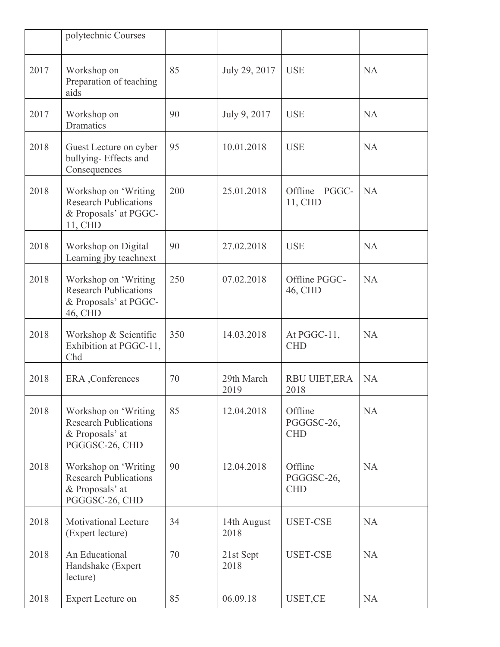|      | polytechnic Courses                                                                       |     |                     |                                     |           |
|------|-------------------------------------------------------------------------------------------|-----|---------------------|-------------------------------------|-----------|
| 2017 | Workshop on<br>Preparation of teaching<br>aids                                            | 85  | July 29, 2017       | <b>USE</b>                          | <b>NA</b> |
| 2017 | Workshop on<br>Dramatics                                                                  | 90  | July 9, 2017        | <b>USE</b>                          | <b>NA</b> |
| 2018 | Guest Lecture on cyber<br>bullying-Effects and<br>Consequences                            | 95  | 10.01.2018          | <b>USE</b>                          | <b>NA</b> |
| 2018 | Workshop on 'Writing<br><b>Research Publications</b><br>& Proposals' at PGGC-<br>11, CHD  | 200 | 25.01.2018          | Offline PGGC-<br>11, CHD            | <b>NA</b> |
| 2018 | Workshop on Digital<br>Learning jby teachnext                                             | 90  | 27.02.2018          | <b>USE</b>                          | <b>NA</b> |
| 2018 | Workshop on 'Writing<br><b>Research Publications</b><br>& Proposals' at PGGC-<br>46, CHD  | 250 | 07.02.2018          | Offline PGGC-<br>46, CHD            | <b>NA</b> |
| 2018 | Workshop & Scientific<br>Exhibition at PGGC-11,<br>Chd                                    | 350 | 14.03.2018          | At PGGC-11,<br><b>CHD</b>           | <b>NA</b> |
| 2018 | ERA , Conferences                                                                         | 70  | 29th March<br>2019  | <b>RBU UIET, ERA</b><br>2018        | <b>NA</b> |
| 2018 | Workshop on 'Writing<br><b>Research Publications</b><br>& Proposals' at<br>PGGGSC-26, CHD | 85  | 12.04.2018          | Offline<br>PGGGSC-26,<br><b>CHD</b> | <b>NA</b> |
| 2018 | Workshop on 'Writing<br><b>Research Publications</b><br>& Proposals' at<br>PGGGSC-26, CHD | 90  | 12.04.2018          | Offline<br>PGGGSC-26,<br><b>CHD</b> | <b>NA</b> |
| 2018 | <b>Motivational Lecture</b><br>(Expert lecture)                                           | 34  | 14th August<br>2018 | <b>USET-CSE</b>                     | <b>NA</b> |
| 2018 | An Educational<br>Handshake (Expert<br>lecture)                                           | 70  | 21st Sept<br>2018   | <b>USET-CSE</b>                     | <b>NA</b> |
| 2018 | <b>Expert Lecture on</b>                                                                  | 85  | 06.09.18            | USET,CE                             | <b>NA</b> |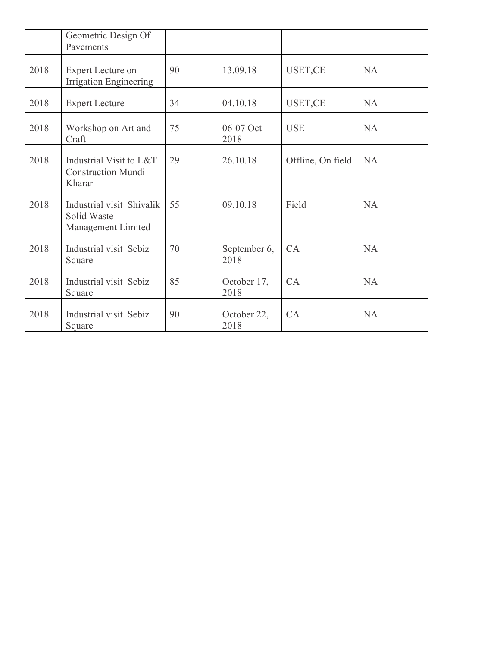|      | Geometric Design Of<br>Pavements                               |    |                      |                   |           |
|------|----------------------------------------------------------------|----|----------------------|-------------------|-----------|
| 2018 | <b>Expert Lecture on</b><br><b>Irrigation Engineering</b>      | 90 | 13.09.18             | USET,CE           | <b>NA</b> |
| 2018 | <b>Expert Lecture</b>                                          | 34 | 04.10.18             | USET,CE           | <b>NA</b> |
| 2018 | Workshop on Art and<br>Craft                                   | 75 | 06-07 Oct<br>2018    | <b>USE</b>        | <b>NA</b> |
| 2018 | Industrial Visit to L&T<br><b>Construction Mundi</b><br>Kharar | 29 | 26.10.18             | Offline, On field | <b>NA</b> |
| 2018 | Industrial visit Shivalik<br>Solid Waste<br>Management Limited | 55 | 09.10.18             | Field             | <b>NA</b> |
| 2018 | Industrial visit Sebiz<br>Square                               | 70 | September 6,<br>2018 | CA                | <b>NA</b> |
| 2018 | Industrial visit Sebiz<br>Square                               | 85 | October 17,<br>2018  | CA                | <b>NA</b> |
| 2018 | Industrial visit Sebiz<br>Square                               | 90 | October 22,<br>2018  | CA                | <b>NA</b> |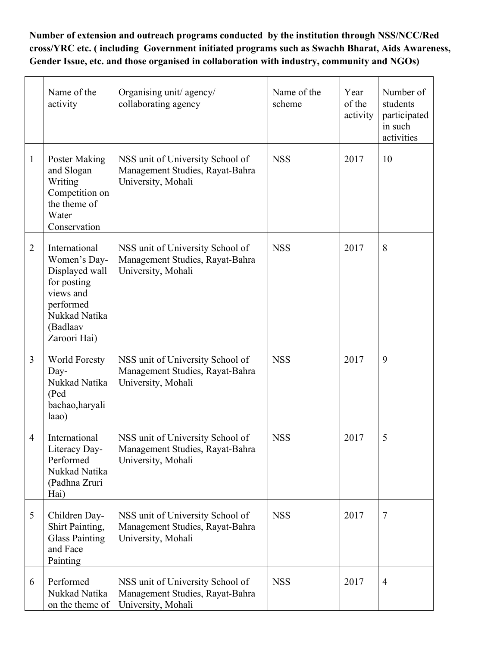**Number of extension and outreach programs conducted by the institution through NSS/NCC/Red cross/YRC etc. ( including Government initiated programs such as Swachh Bharat, Aids Awareness, Gender Issue, etc. and those organised in collaboration with industry, community and NGOs)**

|                          | Name of the<br>activity                                                                                                               | Organising unit/ agency/<br>collaborating agency                                          | Name of the<br>scheme | Year<br>of the<br>activity | Number of<br>students<br>participated<br>in such<br>activities |
|--------------------------|---------------------------------------------------------------------------------------------------------------------------------------|-------------------------------------------------------------------------------------------|-----------------------|----------------------------|----------------------------------------------------------------|
| $\mathbf{1}$             | <b>Poster Making</b><br>and Slogan<br>Writing<br>Competition on<br>the theme of<br>Water<br>Conservation                              | NSS unit of University School of<br>Management Studies, Rayat-Bahra<br>University, Mohali | <b>NSS</b>            | 2017                       | 10                                                             |
| $\overline{2}$           | International<br>Women's Day-<br>Displayed wall<br>for posting<br>views and<br>performed<br>Nukkad Natika<br>(Badlaav<br>Zaroori Hai) | NSS unit of University School of<br>Management Studies, Rayat-Bahra<br>University, Mohali | <b>NSS</b>            | 2017                       | 8                                                              |
| 3                        | <b>World Foresty</b><br>Day-<br>Nukkad Natika<br>(Ped<br>bachao, haryali<br>laao)                                                     | NSS unit of University School of<br>Management Studies, Rayat-Bahra<br>University, Mohali | <b>NSS</b>            | 2017                       | 9                                                              |
| $\overline{\mathcal{A}}$ | International<br>Literacy Day-<br>Performed<br>Nukkad Natika<br>(Padhna Zruri<br>Hai)                                                 | NSS unit of University School of<br>Management Studies, Rayat-Bahra<br>University, Mohali | <b>NSS</b>            | 2017                       | 5                                                              |
| 5                        | Children Day-<br>Shirt Painting,<br><b>Glass Painting</b><br>and Face<br>Painting                                                     | NSS unit of University School of<br>Management Studies, Rayat-Bahra<br>University, Mohali | <b>NSS</b>            | 2017                       | 7                                                              |
| 6                        | Performed<br>Nukkad Natika<br>on the theme of                                                                                         | NSS unit of University School of<br>Management Studies, Rayat-Bahra<br>University, Mohali | <b>NSS</b>            | 2017                       | $\overline{4}$                                                 |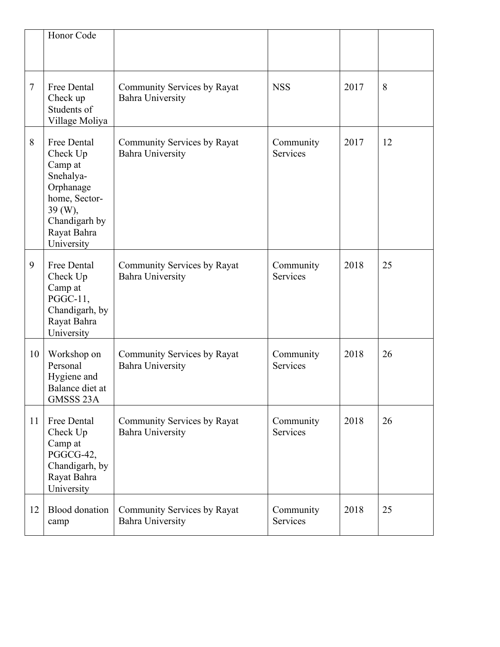|    | Honor Code                                                                                                                             |                                                        |                              |      |    |
|----|----------------------------------------------------------------------------------------------------------------------------------------|--------------------------------------------------------|------------------------------|------|----|
| 7  | Free Dental<br>Check up<br>Students of<br>Village Moliya                                                                               | Community Services by Rayat<br><b>Bahra University</b> | <b>NSS</b>                   | 2017 | 8  |
| 8  | Free Dental<br>Check Up<br>Camp at<br>Snehalya-<br>Orphanage<br>home, Sector-<br>39 (W),<br>Chandigarh by<br>Rayat Bahra<br>University | Community Services by Rayat<br><b>Bahra University</b> | Community<br>Services        | 2017 | 12 |
| 9  | Free Dental<br>Check Up<br>Camp at<br>PGGC-11,<br>Chandigarh, by<br>Rayat Bahra<br>University                                          | Community Services by Rayat<br><b>Bahra University</b> | Community<br>Services        | 2018 | 25 |
| 10 | Workshop on<br>Personal<br>Hygiene and<br>Balance diet at<br>GMSSS 23A                                                                 | Community Services by Rayat<br><b>Bahra University</b> | Community<br><b>Services</b> | 2018 | 26 |
| 11 | Free Dental<br>Check Up<br>Camp at<br>PGGCG-42,<br>Chandigarh, by<br>Rayat Bahra<br>University                                         | Community Services by Rayat<br><b>Bahra University</b> | Community<br>Services        | 2018 | 26 |
| 12 | <b>Blood</b> donation<br>camp                                                                                                          | Community Services by Rayat<br><b>Bahra University</b> | Community<br>Services        | 2018 | 25 |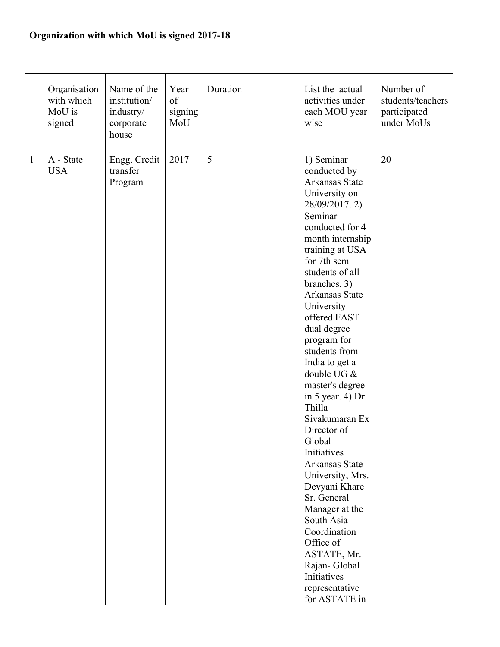## **Organization with which MoU is signed 2017-18**

|              | Organisation<br>with which<br>MoU is<br>signed | Name of the<br>institution/<br>industry/<br>corporate<br>house | Year<br>of<br>signing<br>MoU | Duration       | List the actual<br>activities under<br>each MOU year<br>wise                                                                                                                                                                                                                                                                                                                                                                                                                                                                                                                                                                                                            | Number of<br>students/teachers<br>participated<br>under MoUs |
|--------------|------------------------------------------------|----------------------------------------------------------------|------------------------------|----------------|-------------------------------------------------------------------------------------------------------------------------------------------------------------------------------------------------------------------------------------------------------------------------------------------------------------------------------------------------------------------------------------------------------------------------------------------------------------------------------------------------------------------------------------------------------------------------------------------------------------------------------------------------------------------------|--------------------------------------------------------------|
| $\mathbf{1}$ | A - State<br><b>USA</b>                        | Engg. Credit<br>transfer<br>Program                            | 2017                         | $\mathfrak{S}$ | 1) Seminar<br>conducted by<br>Arkansas State<br>University on<br>28/09/2017.2)<br>Seminar<br>conducted for 4<br>month internship<br>training at USA<br>for 7th sem<br>students of all<br>branches. 3)<br>Arkansas State<br>University<br>offered FAST<br>dual degree<br>program for<br>students from<br>India to get a<br>double UG &<br>master's degree<br>in $5$ year. 4) Dr.<br>Thilla<br>Sivakumaran Ex<br>Director of<br>Global<br>Initiatives<br>Arkansas State<br>University, Mrs.<br>Devyani Khare<br>Sr. General<br>Manager at the<br>South Asia<br>Coordination<br>Office of<br>ASTATE, Mr.<br>Rajan-Global<br>Initiatives<br>representative<br>for ASTATE in | 20                                                           |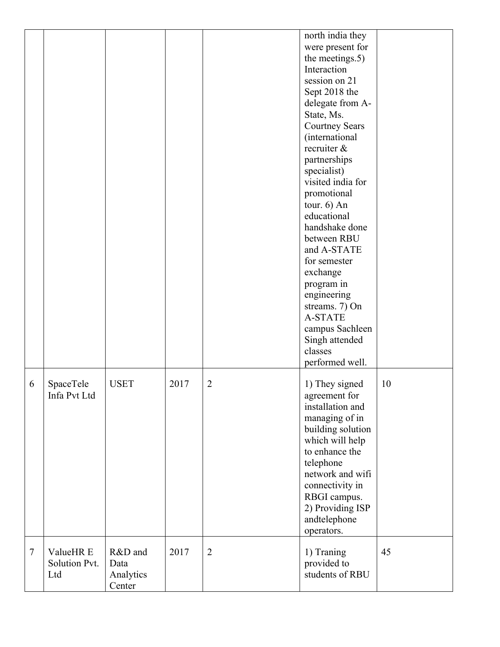|        |                                   |                                        |      |                | north india they<br>were present for<br>the meetings.5)<br>Interaction<br>session on 21<br>Sept 2018 the<br>delegate from A-<br>State, Ms.<br><b>Courtney Sears</b><br>(international<br>recruiter &<br>partnerships<br>specialist)<br>visited india for<br>promotional<br>tour. $6)$ An<br>educational<br>handshake done<br>between RBU<br>and A-STATE<br>for semester<br>exchange<br>program in<br>engineering<br>streams. 7) On<br><b>A-STATE</b><br>campus Sachleen<br>Singh attended<br>classes<br>performed well. |    |
|--------|-----------------------------------|----------------------------------------|------|----------------|-------------------------------------------------------------------------------------------------------------------------------------------------------------------------------------------------------------------------------------------------------------------------------------------------------------------------------------------------------------------------------------------------------------------------------------------------------------------------------------------------------------------------|----|
| 6      | SpaceTele<br>Infa Pvt Ltd         | <b>USET</b>                            | 2017 | 2              | 1) They signed<br>agreement for<br>installation and<br>managing of in<br>building solution<br>which will help<br>to enhance the<br>telephone<br>network and wifi<br>connectivity in<br>RBGI campus.<br>2) Providing ISP<br>andtelephone<br>operators.                                                                                                                                                                                                                                                                   | 10 |
| $\tau$ | ValueHR E<br>Solution Pvt.<br>Ltd | R&D and<br>Data<br>Analytics<br>Center | 2017 | $\overline{2}$ | 1) Traning<br>provided to<br>students of RBU                                                                                                                                                                                                                                                                                                                                                                                                                                                                            | 45 |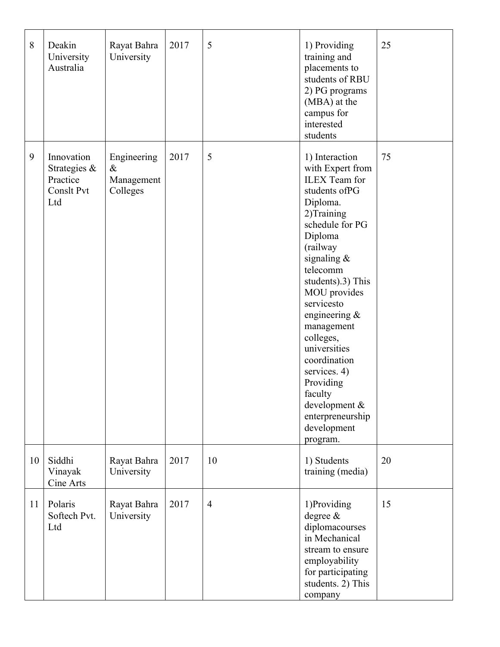| 8  | Deakin<br>University<br>Australia                           | Rayat Bahra<br>University                     | 2017 | 5              | 1) Providing<br>training and<br>placements to<br>students of RBU<br>2) PG programs<br>(MBA) at the<br>campus for<br>interested<br>students                                                                                                                                                                                                                                                                             | 25 |
|----|-------------------------------------------------------------|-----------------------------------------------|------|----------------|------------------------------------------------------------------------------------------------------------------------------------------------------------------------------------------------------------------------------------------------------------------------------------------------------------------------------------------------------------------------------------------------------------------------|----|
| 9  | Innovation<br>Strategies &<br>Practice<br>Conslt Pvt<br>Ltd | Engineering<br>$\&$<br>Management<br>Colleges | 2017 | 5              | 1) Interaction<br>with Expert from<br><b>ILEX</b> Team for<br>students ofPG<br>Diploma.<br>2)Training<br>schedule for PG<br>Diploma<br>(railway<br>signaling $&$<br>telecomm<br>students).3) This<br>MOU provides<br>servicesto<br>engineering $\&$<br>management<br>colleges,<br>universities<br>coordination<br>services. 4)<br>Providing<br>faculty<br>development &<br>enterpreneurship<br>development<br>program. | 75 |
| 10 | Siddhi<br>Vinayak<br>Cine Arts                              | Rayat Bahra<br>University                     | 2017 | 10             | 1) Students<br>training (media)                                                                                                                                                                                                                                                                                                                                                                                        | 20 |
| 11 | Polaris<br>Softech Pvt.<br>Ltd                              | Rayat Bahra<br>University                     | 2017 | $\overline{4}$ | 1)Providing<br>degree $\&$<br>diplomacourses<br>in Mechanical<br>stream to ensure<br>employability<br>for participating<br>students. 2) This<br>company                                                                                                                                                                                                                                                                | 15 |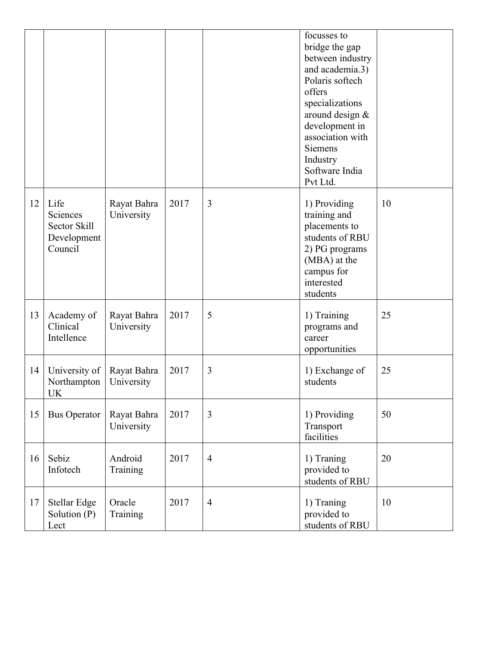|    |                                                            |                           |      |                | focusses to<br>bridge the gap<br>between industry<br>and academia.3)<br>Polaris softech<br>offers<br>specializations<br>around design &<br>development in<br>association with<br><b>Siemens</b><br>Industry<br>Software India<br>Pvt Ltd. |    |
|----|------------------------------------------------------------|---------------------------|------|----------------|-------------------------------------------------------------------------------------------------------------------------------------------------------------------------------------------------------------------------------------------|----|
| 12 | Life<br>Sciences<br>Sector Skill<br>Development<br>Council | Rayat Bahra<br>University | 2017 | 3              | 1) Providing<br>training and<br>placements to<br>students of RBU<br>2) PG programs<br>(MBA) at the<br>campus for<br>interested<br>students                                                                                                | 10 |
| 13 | Academy of<br>Clinical<br>Intellence                       | Rayat Bahra<br>University | 2017 | 5              | 1) Training<br>programs and<br>career<br>opportunities                                                                                                                                                                                    | 25 |
| 14 | University of<br>Northampton<br>UK                         | Rayat Bahra<br>University | 2017 | 3              | 1) Exchange of<br>students                                                                                                                                                                                                                | 25 |
| 15 | <b>Bus Operator</b>                                        | Rayat Bahra<br>University | 2017 | 3              | 1) Providing<br>Transport<br>facilities                                                                                                                                                                                                   | 50 |
| 16 | Sebiz<br>Infotech                                          | Android<br>Training       | 2017 | $\overline{4}$ | 1) Traning<br>provided to<br>students of RBU                                                                                                                                                                                              | 20 |
| 17 | <b>Stellar Edge</b><br>Solution (P)<br>Lect                | Oracle<br>Training        | 2017 | $\overline{4}$ | 1) Traning<br>provided to<br>students of RBU                                                                                                                                                                                              | 10 |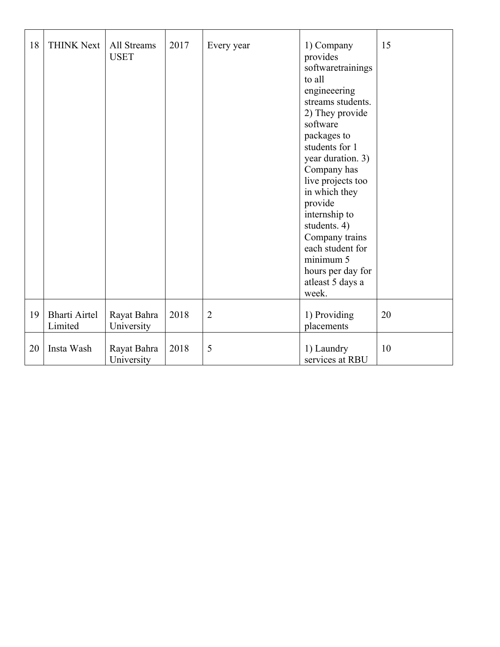| 18 | <b>THINK Next</b>               | All Streams<br><b>USET</b> | 2017 | Every year     | 1) Company<br>provides<br>softwaretrainings<br>to all<br>engineeering<br>streams students.<br>2) They provide<br>software<br>packages to<br>students for 1<br>year duration. 3)<br>Company has<br>live projects too<br>in which they<br>provide<br>internship to<br>students. 4)<br>Company trains<br>each student for<br>minimum 5<br>hours per day for<br>atleast 5 days a<br>week. | 15 |
|----|---------------------------------|----------------------------|------|----------------|---------------------------------------------------------------------------------------------------------------------------------------------------------------------------------------------------------------------------------------------------------------------------------------------------------------------------------------------------------------------------------------|----|
| 19 | <b>Bharti Airtel</b><br>Limited | Rayat Bahra<br>University  | 2018 | $\overline{2}$ | 1) Providing<br>placements                                                                                                                                                                                                                                                                                                                                                            | 20 |
| 20 | Insta Wash                      | Rayat Bahra<br>University  | 2018 | 5              | 1) Laundry<br>services at RBU                                                                                                                                                                                                                                                                                                                                                         | 10 |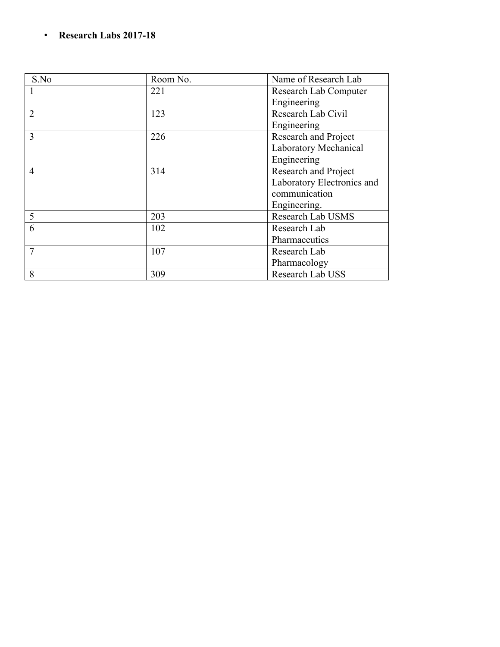#### • **Research Labs 2017-18**

| S.No           | Room No. | Name of Research Lab       |
|----------------|----------|----------------------------|
|                | 221      | Research Lab Computer      |
|                |          | Engineering                |
| $\overline{2}$ | 123      | Research Lab Civil         |
|                |          | Engineering                |
| 3              | 226      | Research and Project       |
|                |          | Laboratory Mechanical      |
|                |          | Engineering                |
| $\overline{4}$ | 314      | Research and Project       |
|                |          | Laboratory Electronics and |
|                |          | communication              |
|                |          | Engineering.               |
| 5              | 203      | Research Lab USMS          |
| 6              | 102      | Research Lab               |
|                |          | Pharmaceutics              |
| $\overline{7}$ | 107      | Research Lab               |
|                |          | Pharmacology               |
| 8              | 309      | Research Lab USS           |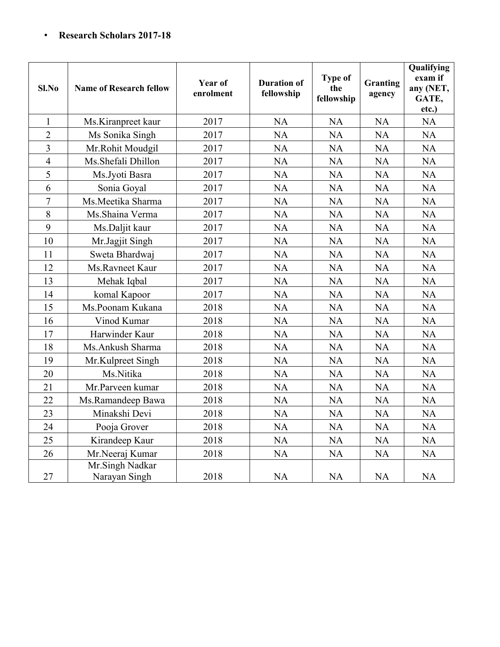#### • **Research Scholars 2017-18**

| Sl.No          | <b>Name of Research fellow</b>   | <b>Year of</b><br>enrolment | <b>Duration of</b><br>fellowship | <b>Type of</b><br>the<br>fellowship | <b>Granting</b><br>agency | Qualifying<br>exam if<br>any (NET,<br>GATE,<br>etc.) |
|----------------|----------------------------------|-----------------------------|----------------------------------|-------------------------------------|---------------------------|------------------------------------------------------|
| $\mathbf{1}$   | Ms.Kiranpreet kaur               | 2017                        | <b>NA</b>                        | <b>NA</b>                           | <b>NA</b>                 | <b>NA</b>                                            |
| $\overline{2}$ | Ms Sonika Singh                  | 2017                        | NA                               | <b>NA</b>                           | <b>NA</b>                 | <b>NA</b>                                            |
| $\overline{3}$ | Mr.Rohit Moudgil                 | 2017                        | NA                               | <b>NA</b>                           | <b>NA</b>                 | <b>NA</b>                                            |
| $\overline{4}$ | Ms.Shefali Dhillon               | 2017                        | <b>NA</b>                        | <b>NA</b>                           | <b>NA</b>                 | <b>NA</b>                                            |
| 5              | Ms.Jyoti Basra                   | 2017                        | <b>NA</b>                        | <b>NA</b>                           | <b>NA</b>                 | <b>NA</b>                                            |
| 6              | Sonia Goyal                      | 2017                        | <b>NA</b>                        | <b>NA</b>                           | <b>NA</b>                 | <b>NA</b>                                            |
| 7              | Ms.Meetika Sharma                | 2017                        | <b>NA</b>                        | <b>NA</b>                           | <b>NA</b>                 | <b>NA</b>                                            |
| 8              | Ms.Shaina Verma                  | 2017                        | <b>NA</b>                        | <b>NA</b>                           | <b>NA</b>                 | <b>NA</b>                                            |
| 9              | Ms.Daljit kaur                   | 2017                        | NA                               | <b>NA</b>                           | <b>NA</b>                 | <b>NA</b>                                            |
| 10             | Mr.Jagjit Singh                  | 2017                        | <b>NA</b>                        | <b>NA</b>                           | <b>NA</b>                 | <b>NA</b>                                            |
| 11             | Sweta Bhardwaj                   | 2017                        | <b>NA</b>                        | <b>NA</b>                           | <b>NA</b>                 | <b>NA</b>                                            |
| 12             | Ms.Ravneet Kaur                  | 2017                        | <b>NA</b>                        | <b>NA</b>                           | <b>NA</b>                 | <b>NA</b>                                            |
| 13             | Mehak Iqbal                      | 2017                        | <b>NA</b>                        | <b>NA</b>                           | <b>NA</b>                 | <b>NA</b>                                            |
| 14             | komal Kapoor                     | 2017                        | NA                               | <b>NA</b>                           | <b>NA</b>                 | <b>NA</b>                                            |
| 15             | Ms.Poonam Kukana                 | 2018                        | <b>NA</b>                        | <b>NA</b>                           | <b>NA</b>                 | <b>NA</b>                                            |
| 16             | Vinod Kumar                      | 2018                        | NA                               | <b>NA</b>                           | <b>NA</b>                 | <b>NA</b>                                            |
| 17             | Harwinder Kaur                   | 2018                        | <b>NA</b>                        | <b>NA</b>                           | <b>NA</b>                 | <b>NA</b>                                            |
| 18             | Ms.Ankush Sharma                 | 2018                        | <b>NA</b>                        | <b>NA</b>                           | <b>NA</b>                 | NA                                                   |
| 19             | Mr.Kulpreet Singh                | 2018                        | NA                               | <b>NA</b>                           | <b>NA</b>                 | <b>NA</b>                                            |
| 20             | Ms.Nitika                        | 2018                        | <b>NA</b>                        | <b>NA</b>                           | <b>NA</b>                 | <b>NA</b>                                            |
| 21             | Mr.Parveen kumar                 | 2018                        | <b>NA</b>                        | <b>NA</b>                           | <b>NA</b>                 | <b>NA</b>                                            |
| 22             | Ms.Ramandeep Bawa                | 2018                        | NA                               | <b>NA</b>                           | <b>NA</b>                 | <b>NA</b>                                            |
| 23             | Minakshi Devi                    | 2018                        | <b>NA</b>                        | <b>NA</b>                           | <b>NA</b>                 | <b>NA</b>                                            |
| 24             | Pooja Grover                     | 2018                        | <b>NA</b>                        | NA                                  | <b>NA</b>                 | NA                                                   |
| 25             | Kirandeep Kaur                   | 2018                        | <b>NA</b>                        | <b>NA</b>                           | <b>NA</b>                 | <b>NA</b>                                            |
| 26             | Mr.Neeraj Kumar                  | 2018                        | <b>NA</b>                        | NA                                  | <b>NA</b>                 | <b>NA</b>                                            |
| 27             | Mr.Singh Nadkar<br>Narayan Singh | 2018                        | <b>NA</b>                        | <b>NA</b>                           | <b>NA</b>                 | <b>NA</b>                                            |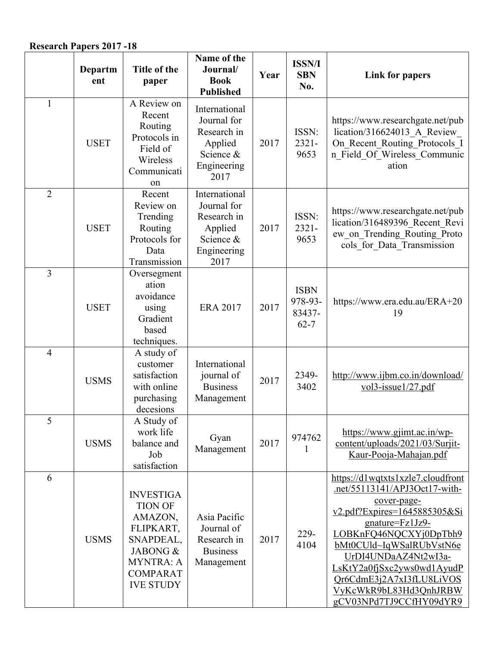#### **Research Papers 2017 -18**

|                | Departm<br>ent | Title of the<br>paper                                                                                                                          | Name of the<br>Journal/<br><b>Book</b><br><b>Published</b>                                 | Year | <b>ISSN/I</b><br><b>SBN</b><br>No.           | <b>Link for papers</b>                                                                                                                                                                                                                                                                                                            |
|----------------|----------------|------------------------------------------------------------------------------------------------------------------------------------------------|--------------------------------------------------------------------------------------------|------|----------------------------------------------|-----------------------------------------------------------------------------------------------------------------------------------------------------------------------------------------------------------------------------------------------------------------------------------------------------------------------------------|
| $\mathbf{1}$   | <b>USET</b>    | A Review on<br>Recent<br>Routing<br>Protocols in<br>Field of<br>Wireless<br>Communicati<br>on                                                  | International<br>Journal for<br>Research in<br>Applied<br>Science &<br>Engineering<br>2017 | 2017 | ISSN:<br>$2321 -$<br>9653                    | https://www.researchgate.net/pub<br>lication/316624013 A Review<br>On Recent Routing Protocols I<br>n Field Of Wireless Communic<br>ation                                                                                                                                                                                         |
| $\overline{2}$ | <b>USET</b>    | Recent<br>Review on<br>Trending<br>Routing<br>Protocols for<br>Data<br>Transmission                                                            | International<br>Journal for<br>Research in<br>Applied<br>Science &<br>Engineering<br>2017 | 2017 | ISSN:<br>$2321 -$<br>9653                    | https://www.researchgate.net/pub<br>lication/316489396_Recent Revi<br>ew on Trending Routing Proto<br>cols for Data Transmission                                                                                                                                                                                                  |
| 3              | <b>USET</b>    | Oversegment<br>ation<br>avoidance<br>using<br>Gradient<br>based<br>techniques.                                                                 | <b>ERA 2017</b>                                                                            | 2017 | <b>ISBN</b><br>978-93-<br>83437-<br>$62 - 7$ | https://www.era.edu.au/ERA+20<br>19                                                                                                                                                                                                                                                                                               |
| $\overline{4}$ | <b>USMS</b>    | A study of<br>customer<br>satisfaction<br>with online<br>purchasing<br>decesions                                                               | International<br>journal of<br><b>Business</b><br>Management                               | 2017 | 2349-<br>3402                                | http://www.ijbm.co.in/download/<br>$vol3$ -issue $1/27$ .pdf                                                                                                                                                                                                                                                                      |
| 5              | <b>USMS</b>    | A Study of<br>work life<br>balance and<br>Job<br>satisfaction                                                                                  | Gyan<br>Management                                                                         | 2017 | 974762                                       | https://www.gjimt.ac.in/wp-<br>content/uploads/2021/03/Surjit-<br>Kaur-Pooja-Mahajan.pdf                                                                                                                                                                                                                                          |
| 6              | <b>USMS</b>    | <b>INVESTIGA</b><br><b>TION OF</b><br>AMAZON,<br>FLIPKART,<br>SNAPDEAL,<br>JABONG &<br><b>MYNTRA: A</b><br><b>COMPARAT</b><br><b>IVE STUDY</b> | Asia Pacific<br>Journal of<br>Research in<br><b>Business</b><br>Management                 | 2017 | 229-<br>4104                                 | https://d1wqtxts1xzle7.cloudfront<br>.net/55113141/APJ3Oct17-with-<br>cover-page-<br>v2.pdf?Expires=1645885305&Si<br>gnature=Fz1Jz9-<br>LOBKnFQ46NQCXYj0DpTbh9<br>bMt0CUld~IqWSalRUbVstN6e<br>UrDI4UNDaAZ4Nt2wI3a-<br>LsKtY2a0fjSxc2yws0wd1AyudP<br>Qr6CdmE3j2A7xI3fLU8LiVOS<br>VyKcWkR9bL83Hd3QnhJRBW<br>gCV03NPd7TJ9CCfHY09dYR9 |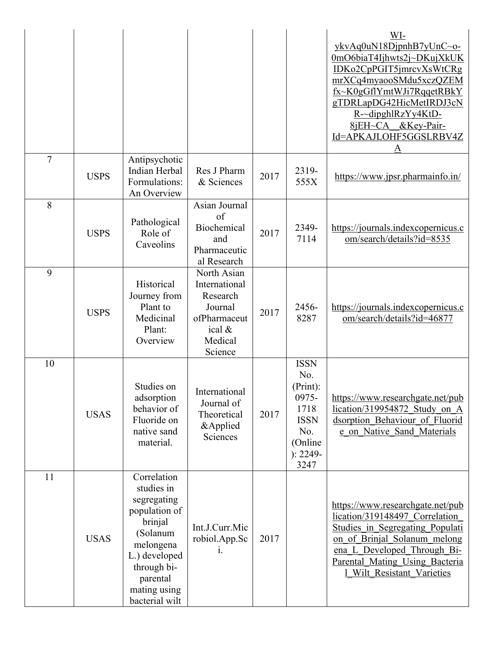|                |             |                                                                                                                                                                             |                                                                                                     |      |                                                                                                        | WI-<br>ykvAq0uN18DjpnhB7yUnC~o-<br>0mO6biaT4Ijhwts2j~DKujXkUK<br>IDKo2CpPGIT5jmrcvXsWtCRg<br>mrXCq4myaooSMdu5xczQZEM<br>fx~K0gGflYmtWJi7RqqetRBkY<br>gTDRLapDG42HicMetIRDJ3cN<br>R-~dipghlRzYy4KtD-<br>8jEH~CA &Key-Pair-<br>Id=APKAJLOHF5GGSLRBV4Z<br>Α |
|----------------|-------------|-----------------------------------------------------------------------------------------------------------------------------------------------------------------------------|-----------------------------------------------------------------------------------------------------|------|--------------------------------------------------------------------------------------------------------|----------------------------------------------------------------------------------------------------------------------------------------------------------------------------------------------------------------------------------------------------------|
| $\overline{7}$ | <b>USPS</b> | Antipsychotic<br>Indian Herbal<br>Formulations:<br>An Overview                                                                                                              | Res J Pharm<br>& Sciences                                                                           | 2017 | 2319-<br>555X                                                                                          | https://www.jpsr.pharmainfo.in/                                                                                                                                                                                                                          |
| 8              | <b>USPS</b> | Pathological<br>Role of<br>Caveolins                                                                                                                                        | Asian Journal<br>of<br>Biochemical<br>and<br>Pharmaceutic<br>al Research                            | 2017 | 2349-<br>7114                                                                                          | https://journals.indexcopernicus.c<br>om/search/details?id=8535                                                                                                                                                                                          |
| 9              | <b>USPS</b> | Historical<br>Journey from<br>Plant to<br>Medicinal<br>Plant:<br>Overview                                                                                                   | North Asian<br>International<br>Research<br>Journal<br>ofPharmaceut<br>ical &<br>Medical<br>Science | 2017 | 2456-<br>8287                                                                                          | https://journals.indexcopernicus.c<br>om/search/details?id=46877                                                                                                                                                                                         |
| 10             | <b>USAS</b> | Studies on<br>adsorption<br>behavior of<br>Fluoride on<br>native sand<br>material.                                                                                          | International<br>Journal of<br>Theoretical<br>&Applied<br>Sciences                                  | 2017 | <b>ISSN</b><br>No.<br>(Print):<br>0975-<br>1718<br><b>ISSN</b><br>No.<br>(Online<br>$): 2249-$<br>3247 | https://www.researchgate.net/pub<br>lication/319954872 Study on A<br>dsorption Behaviour of Fluorid<br>e on Native Sand Materials                                                                                                                        |
| 11             | <b>USAS</b> | Correlation<br>studies in<br>segregating<br>population of<br>brinjal<br>(Solanum<br>melongena<br>L.) developed<br>through bi-<br>parental<br>mating using<br>bacterial wilt | Int.J.Curr.Mic<br>robiol.App.Sc<br>1.                                                               | 2017 |                                                                                                        | https://www.researchgate.net/pub<br>lication/319148497 Correlation<br>Studies in Segregating Populati<br>on of Brinjal Solanum melong<br>ena L Developed Through Bi-<br>Parental Mating Using Bacteria<br>Wilt Resistant Varieties                       |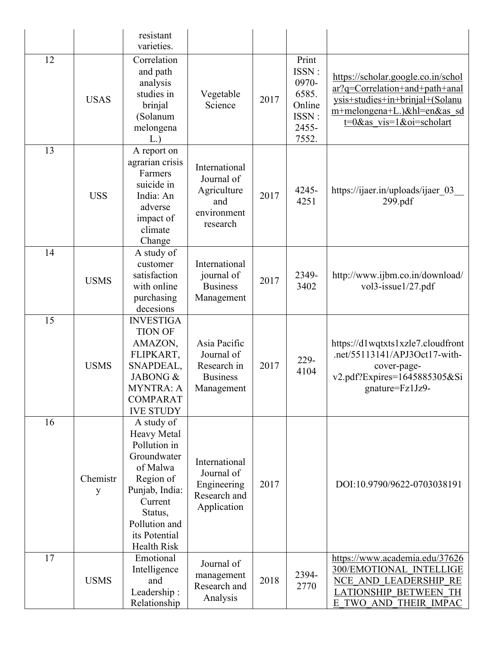|    |               | resistant<br>varieties.                                                                                                                                                                  |                                                                              |      |                                                                       |                                                                                                                                                                       |
|----|---------------|------------------------------------------------------------------------------------------------------------------------------------------------------------------------------------------|------------------------------------------------------------------------------|------|-----------------------------------------------------------------------|-----------------------------------------------------------------------------------------------------------------------------------------------------------------------|
| 12 | <b>USAS</b>   | Correlation<br>and path<br>analysis<br>studies in<br>brinjal<br>(Solanum<br>melongena<br>L.                                                                                              | Vegetable<br>Science                                                         | 2017 | Print<br>ISSN:<br>0970-<br>6585.<br>Online<br>ISSN:<br>2455-<br>7552. | https://scholar.google.co.in/schol<br>ar?q=Correlation+and+path+anal<br>ysis+studies+in+brinjal+(Solanu<br>m+melongena+L.)&hl=en&as sd<br>$t=0$ &as vis=1&oi=scholart |
| 13 | <b>USS</b>    | A report on<br>agrarian crisis<br>Farmers<br>suicide in<br>India: An<br>adverse<br>impact of<br>climate<br>Change                                                                        | International<br>Journal of<br>Agriculture<br>and<br>environment<br>research | 2017 | 4245-<br>4251                                                         | https://ijaer.in/uploads/ijaer 03<br>299.pdf                                                                                                                          |
| 14 | <b>USMS</b>   | A study of<br>customer<br>satisfaction<br>with online<br>purchasing<br>decesions                                                                                                         | International<br>journal of<br><b>Business</b><br>Management                 | 2017 | 2349-<br>3402                                                         | http://www.ijbm.co.in/download/<br>vol3-issue1/27.pdf                                                                                                                 |
| 15 | <b>USMS</b>   | <b>INVESTIGA</b><br><b>TION OF</b><br>AMAZON,<br>FLIPKART,<br>SNAPDEAL,<br>JABONG &<br><b>MYNTRA: A</b><br><b>COMPARAT</b><br><b>IVE STUDY</b>                                           | Asia Pacific<br>Journal of<br>Research in<br><b>Business</b><br>Management   | 2017 | 229-<br>4104                                                          | https://d1wqtxts1xzle7.cloudfront<br>.net/55113141/APJ3Oct17-with-<br>cover-page-<br>v2.pdf?Expires=1645885305&Si<br>gnature=Fz1Jz9-                                  |
| 16 | Chemistr<br>y | A study of<br><b>Heavy Metal</b><br>Pollution in<br>Groundwater<br>of Malwa<br>Region of<br>Punjab, India:<br>Current<br>Status,<br>Pollution and<br>its Potential<br><b>Health Risk</b> | International<br>Journal of<br>Engineering<br>Research and<br>Application    | 2017 |                                                                       | DOI:10.9790/9622-0703038191                                                                                                                                           |
| 17 | <b>USMS</b>   | Emotional<br>Intelligence<br>and<br>Leadership:<br>Relationship                                                                                                                          | Journal of<br>management<br>Research and<br>Analysis                         | 2018 | 2394-<br>2770                                                         | https://www.academia.edu/37626<br>300/EMOTIONAL INTELLIGE<br>NCE AND LEADERSHIP RE<br><b>LATIONSHIP BETWEEN TH</b><br>E TWO AND THEIR IMPAC                           |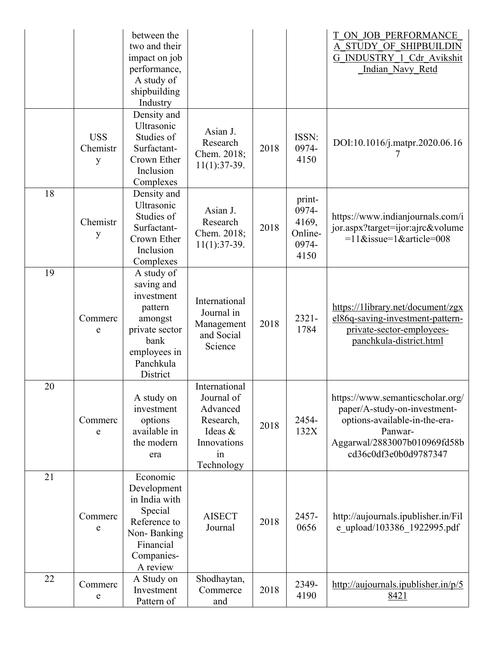|    |                             | between the<br>two and their<br>impact on job<br>performance,<br>A study of<br>shipbuilding<br>Industry                         |                                                                                                    |      |                                                      | ON JOB PERFORMANCE<br>A STUDY OF SHIPBUILDIN<br>G INDUSTRY 1_Cdr_Avikshit<br>Indian Navy Retd                                                                         |
|----|-----------------------------|---------------------------------------------------------------------------------------------------------------------------------|----------------------------------------------------------------------------------------------------|------|------------------------------------------------------|-----------------------------------------------------------------------------------------------------------------------------------------------------------------------|
|    | <b>USS</b><br>Chemistr<br>у | Density and<br>Ultrasonic<br>Studies of<br>Surfactant-<br>Crown Ether<br>Inclusion<br>Complexes                                 | Asian J.<br>Research<br>Chem. 2018;<br>$11(1):37-39.$                                              | 2018 | ISSN:<br>0974-<br>4150                               | DOI:10.1016/j.matpr.2020.06.16                                                                                                                                        |
| 18 | Chemistr<br>у               | Density and<br>Ultrasonic<br>Studies of<br>Surfactant-<br>Crown Ether<br>Inclusion<br>Complexes                                 | Asian J.<br>Research<br>Chem. 2018;<br>$11(1):37-39.$                                              | 2018 | print-<br>0974-<br>4169,<br>Online-<br>0974-<br>4150 | https://www.indianjournals.com/i<br>jor.aspx?target=ijor:ajrc&volume<br>$=11$ &issue=1&article=008                                                                    |
| 19 | Commerc<br>e                | A study of<br>saving and<br>investment<br>pattern<br>amongst<br>private sector<br>bank<br>employees in<br>Panchkula<br>District | International<br>Journal in<br>Management<br>and Social<br>Science                                 | 2018 | $2321 -$<br>1784                                     | https://1library.net/document/zgx<br>el86q-saving-investment-pattern-<br>private-sector-employees-<br>panchkula-district.html                                         |
| 20 | Commerc<br>e                | A study on<br>investment<br>options<br>available in<br>the modern<br>era                                                        | International<br>Journal of<br>Advanced<br>Research,<br>Ideas &<br>Innovations<br>in<br>Technology | 2018 | 2454-<br>132X                                        | https://www.semanticscholar.org/<br>paper/A-study-on-investment-<br>options-available-in-the-era-<br>Panwar-<br>Aggarwal/2883007b010969fd58b<br>cd36c0df3e0b0d9787347 |
| 21 | Commerc<br>e                | Economic<br>Development<br>in India with<br>Special<br>Reference to<br>Non-Banking<br>Financial<br>Companies-<br>A review       | <b>AISECT</b><br>Journal                                                                           | 2018 | 2457-<br>0656                                        | http://aujournals.ipublisher.in/Fil<br>e_upload/103386_1922995.pdf                                                                                                    |
| 22 | Commerc<br>e                | A Study on<br>Investment<br>Pattern of                                                                                          | Shodhaytan,<br>Commerce<br>and                                                                     | 2018 | 2349-<br>4190                                        | http://aujournals.ipublisher.in/p/5<br><u>8421</u>                                                                                                                    |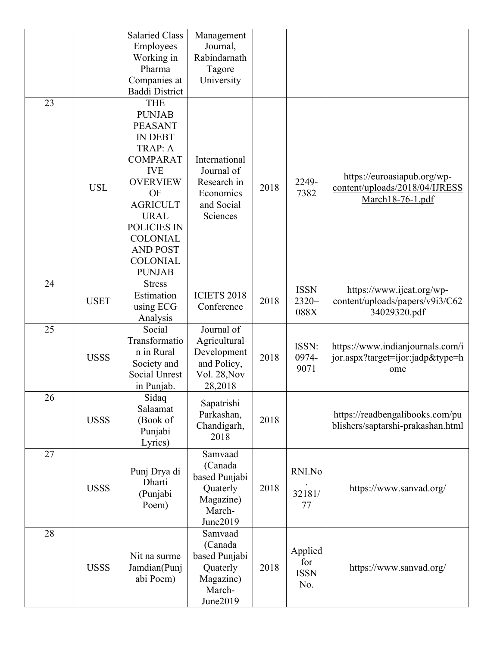|    |             | <b>Salaried Class</b><br>Employees<br>Working in<br>Pharma<br>Companies at<br><b>Baddi District</b>                                                                                                                                                             | Management<br>Journal,<br>Rabindarnath<br>Tagore<br>University                      |      |                                      |                                                                                   |
|----|-------------|-----------------------------------------------------------------------------------------------------------------------------------------------------------------------------------------------------------------------------------------------------------------|-------------------------------------------------------------------------------------|------|--------------------------------------|-----------------------------------------------------------------------------------|
| 23 | <b>USL</b>  | <b>THE</b><br><b>PUNJAB</b><br><b>PEASANT</b><br><b>IN DEBT</b><br>TRAP: A<br><b>COMPARAT</b><br><b>IVE</b><br><b>OVERVIEW</b><br>OF<br><b>AGRICULT</b><br><b>URAL</b><br>POLICIES IN<br><b>COLONIAL</b><br><b>AND POST</b><br><b>COLONIAL</b><br><b>PUNJAB</b> | International<br>Journal of<br>Research in<br>Economics<br>and Social<br>Sciences   | 2018 | 2249-<br>7382                        | https://euroasiapub.org/wp-<br>content/uploads/2018/04/IJRESS<br>March18-76-1.pdf |
| 24 | <b>USET</b> | <b>Stress</b><br>Estimation<br>using ECG<br>Analysis                                                                                                                                                                                                            | <b>ICIETS 2018</b><br>Conference                                                    | 2018 | <b>ISSN</b><br>$2320 -$<br>088X      | https://www.ijeat.org/wp-<br>content/uploads/papers/v9i3/C62<br>34029320.pdf      |
| 25 | <b>USSS</b> | Social<br>Transformatio<br>n in Rural<br>Society and<br><b>Social Unrest</b><br>in Punjab.                                                                                                                                                                      | Journal of<br>Agricultural<br>Development<br>and Policy,<br>Vol. 28, Nov<br>28,2018 | 2018 | ISSN:<br>0974-<br>9071               | https://www.indianjournals.com/i<br>jor.aspx?target=ijor:jadp&type=h<br>ome       |
| 26 | <b>USSS</b> | Sidaq<br>Salaamat<br>(Book of<br>Punjabi<br>Lyrics)                                                                                                                                                                                                             | Sapatrishi<br>Parkashan,<br>Chandigarh,<br>2018                                     | 2018 |                                      | https://readbengalibooks.com/pu<br>blishers/saptarshi-prakashan.html              |
| 27 | <b>USSS</b> | Punj Drya di<br>Dharti<br>(Punjabi<br>Poem)                                                                                                                                                                                                                     | Samvaad<br>(Canada<br>based Punjabi<br>Quaterly<br>Magazine)<br>March-<br>June2019  | 2018 | RNI.No<br>32181/<br>77               | https://www.sanvad.org/                                                           |
| 28 | <b>USSS</b> | Nit na surme<br>Jamdian(Punj<br>abi Poem)                                                                                                                                                                                                                       | Samvaad<br>(Canada<br>based Punjabi<br>Quaterly<br>Magazine)<br>March-<br>June2019  | 2018 | Applied<br>for<br><b>ISSN</b><br>No. | https://www.sanvad.org/                                                           |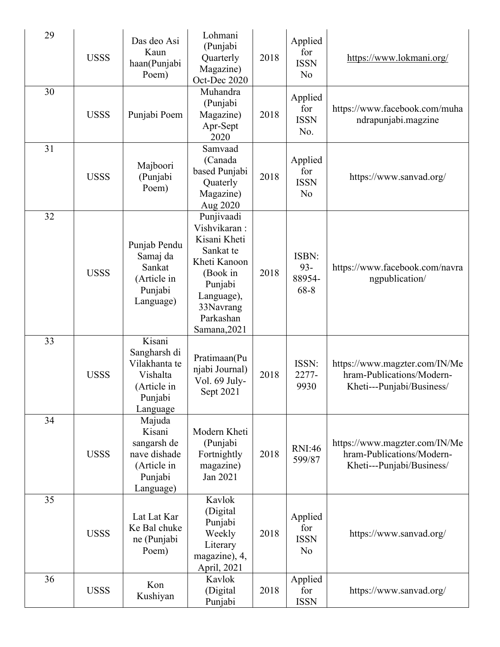| 29 | <b>USSS</b> | Das deo Asi<br>Kaun<br>haan(Punjabi<br>Poem)                                              | Lohmani<br>(Punjabi<br>Quarterly<br>Magazine)<br>Oct-Dec 2020                                                                                          | 2018 | Applied<br>for<br><b>ISSN</b><br>N <sub>o</sub> | https://www.lokmani.org/                                                                |
|----|-------------|-------------------------------------------------------------------------------------------|--------------------------------------------------------------------------------------------------------------------------------------------------------|------|-------------------------------------------------|-----------------------------------------------------------------------------------------|
| 30 | <b>USSS</b> | Punjabi Poem                                                                              | Muhandra<br>(Punjabi<br>Magazine)<br>Apr-Sept<br>2020                                                                                                  | 2018 | Applied<br>for<br><b>ISSN</b><br>No.            | https://www.facebook.com/muha<br>ndrapunjabi.magzine                                    |
| 31 | <b>USSS</b> | Majboori<br>(Punjabi<br>Poem)                                                             | Samvaad<br>(Canada<br>based Punjabi<br>Quaterly<br>Magazine)<br>Aug 2020                                                                               | 2018 | Applied<br>for<br><b>ISSN</b><br>No             | https://www.sanvad.org/                                                                 |
| 32 | <b>USSS</b> | Punjab Pendu<br>Samaj da<br>Sankat<br>(Article in<br>Punjabi<br>Language)                 | Punjivaadi<br>Vishvikaran:<br>Kisani Kheti<br>Sankat te<br>Kheti Kanoon<br>(Book in<br>Punjabi<br>Language),<br>33Navrang<br>Parkashan<br>Samana, 2021 | 2018 | ISBN:<br>$93 -$<br>88954-<br>68-8               | https://www.facebook.com/navra<br>ngpublication/                                        |
| 33 | <b>USSS</b> | Kisani<br>Sangharsh di<br>Vilakhanta te<br>Vishalta<br>(Article in<br>Punjabi<br>Language | Pratimaan(Pu<br>njabi Journal)<br>Vol. 69 July-<br>Sept 2021                                                                                           | 2018 | ISSN:<br>2277-<br>9930                          | https://www.magzter.com/IN/Me<br>hram-Publications/Modern-<br>Kheti---Punjabi/Business/ |
| 34 | <b>USSS</b> | Majuda<br>Kisani<br>sangarsh de<br>nave dishade<br>(Article in<br>Punjabi<br>Language)    | Modern Kheti<br>(Punjabi<br>Fortnightly<br>magazine)<br>Jan 2021                                                                                       | 2018 | <b>RNI:46</b><br>599/87                         | https://www.magzter.com/IN/Me<br>hram-Publications/Modern-<br>Kheti---Punjabi/Business/ |
| 35 | <b>USSS</b> | Lat Lat Kar<br>Ke Bal chuke<br>ne (Punjabi<br>Poem)                                       | Kavlok<br>(Digital<br>Punjabi<br>Weekly<br>Literary<br>magazine), 4,<br>April, 2021                                                                    | 2018 | Applied<br>for<br><b>ISSN</b><br>No             | https://www.sanvad.org/                                                                 |
| 36 | <b>USSS</b> | Kon<br>Kushiyan                                                                           | Kavlok<br>(Digital<br>Punjabi                                                                                                                          | 2018 | Applied<br>for<br><b>ISSN</b>                   | https://www.sanvad.org/                                                                 |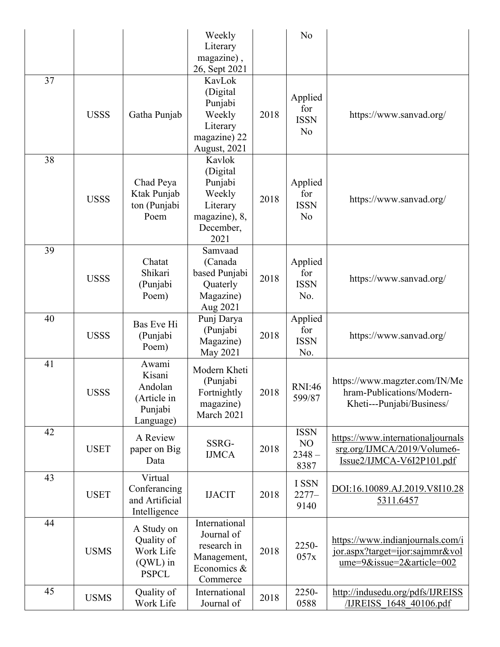|    |             |                                                                     | Weekly                                                                                    |      | N <sub>o</sub>                                  |                                                                                                     |
|----|-------------|---------------------------------------------------------------------|-------------------------------------------------------------------------------------------|------|-------------------------------------------------|-----------------------------------------------------------------------------------------------------|
|    |             |                                                                     | Literary                                                                                  |      |                                                 |                                                                                                     |
|    |             |                                                                     | magazine),                                                                                |      |                                                 |                                                                                                     |
|    |             |                                                                     | 26, Sept 2021                                                                             |      |                                                 |                                                                                                     |
| 37 | <b>USSS</b> | Gatha Punjab                                                        | KavLok<br>(Digital<br>Punjabi<br>Weekly<br>Literary<br>magazine) 22<br>August, 2021       | 2018 | Applied<br>for<br><b>ISSN</b><br>N <sub>o</sub> | https://www.sanvad.org/                                                                             |
| 38 | <b>USSS</b> | Chad Peya<br>Ktak Punjab<br>ton (Punjabi<br>Poem                    | Kavlok<br>(Digital<br>Punjabi<br>Weekly<br>Literary<br>magazine), 8,<br>December,<br>2021 | 2018 | Applied<br>for<br><b>ISSN</b><br>N <sub>o</sub> | https://www.sanvad.org/                                                                             |
| 39 | <b>USSS</b> | Chatat<br>Shikari<br>(Punjabi<br>Poem)                              | Samvaad<br>(Canada<br>based Punjabi<br>Quaterly<br>Magazine)<br>Aug 2021                  | 2018 | Applied<br>for<br><b>ISSN</b><br>No.            | https://www.sanvad.org/                                                                             |
| 40 | <b>USSS</b> | Bas Eve Hi<br>(Punjabi<br>Poem)                                     | Punj Darya<br>(Punjabi<br>Magazine)<br>May 2021                                           | 2018 | Applied<br>for<br><b>ISSN</b><br>No.            | https://www.sanvad.org/                                                                             |
| 41 | <b>USSS</b> | Awami<br>Kisani<br>Andolan<br>(Article in<br>Punjabi<br>Language)   | Modern Kheti<br>(Punjabi<br>Fortnightly<br>magazine)<br>March 2021                        | 2018 | <b>RNI:46</b><br>599/87                         | https://www.magzter.com/IN/Me<br>hram-Publications/Modern-<br>Kheti---Punjabi/Business/             |
| 42 | <b>USET</b> | A Review<br>paper on Big<br>Data                                    | SSRG-<br><b>IJMCA</b>                                                                     | 2018 | <b>ISSN</b><br>NO<br>$2348 -$<br>8387           | https://www.internationaljournals<br>srg.org/IJMCA/2019/Volume6-<br>Issue2/IJMCA-V6I2P101.pdf       |
| 43 | <b>USET</b> | Virtual<br>Conferancing<br>and Artificial<br>Intelligence           | <b>IJACIT</b>                                                                             | 2018 | I SSN<br>$2277-$<br>9140                        | DOI:16.10089.AJ.2019.V8I10.28<br>5311.6457                                                          |
| 44 | <b>USMS</b> | A Study on<br>Quality of<br>Work Life<br>$(QWL)$ in<br><b>PSPCL</b> | International<br>Journal of<br>research in<br>Management,<br>Economics &<br>Commerce      | 2018 | 2250-<br>057x                                   | https://www.indianjournals.com/i<br>jor.aspx?target=ijor:sajmmr&vol<br>$ume=9&$ issue=2&article=002 |
| 45 | <b>USMS</b> | Quality of<br>Work Life                                             | International<br>Journal of                                                               | 2018 | 2250-<br>0588                                   | http://indusedu.org/pdfs/IJREISS<br>/IJREISS 1648 40106.pdf                                         |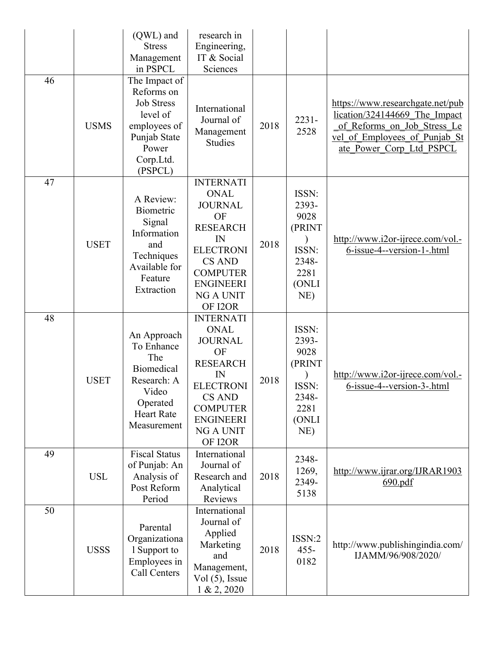|    |             | (QWL) and<br><b>Stress</b><br>Management<br>in PSPCL                                                                          | research in<br>Engineering,<br>IT & Social<br>Sciences                                                                                                                               |      |                                                                               |                                                                                                                                                               |
|----|-------------|-------------------------------------------------------------------------------------------------------------------------------|--------------------------------------------------------------------------------------------------------------------------------------------------------------------------------------|------|-------------------------------------------------------------------------------|---------------------------------------------------------------------------------------------------------------------------------------------------------------|
| 46 | <b>USMS</b> | The Impact of<br>Reforms on<br><b>Job Stress</b><br>level of<br>employees of<br>Punjab State<br>Power<br>Corp.Ltd.<br>(PSPCL) | International<br>Journal of<br>Management<br>Studies                                                                                                                                 | 2018 | $2231 -$<br>2528                                                              | https://www.researchgate.net/pub<br>lication/324144669 The Impact<br>of Reforms on Job Stress Le<br>vel of Employees of Punjab St<br>ate Power Corp Ltd PSPCL |
| 47 | <b>USET</b> | A Review:<br>Biometric<br>Signal<br>Information<br>and<br>Techniques<br>Available for<br>Feature<br>Extraction                | <b>INTERNATI</b><br><b>ONAL</b><br><b>JOURNAL</b><br>OF<br><b>RESEARCH</b><br>IN<br><b>ELECTRONI</b><br><b>CS AND</b><br><b>COMPUTER</b><br><b>ENGINEERI</b><br>NG A UNIT<br>OF I2OR | 2018 | ISSN:<br>2393-<br>9028<br>(PRINT<br>ISSN:<br>2348-<br>2281<br>(ONLI<br>NE)    | http://www.i2or-ijrece.com/vol.-<br>$6$ -issue-4--version-1-.html                                                                                             |
| 48 | <b>USET</b> | An Approach<br>To Enhance<br>The<br><b>Biomedical</b><br>Research: A<br>Video<br>Operated<br><b>Heart Rate</b><br>Measurement | <b>INTERNATI</b><br><b>ONAL</b><br><b>JOURNAL</b><br>OF<br><b>RESEARCH</b><br>IN<br><b>ELECTRONI</b><br>CS AND<br><b>COMPUTER</b><br><b>ENGINEERI</b><br><b>NG A UNIT</b><br>OF I2OR | 2018 | ISSN:<br>2393-<br>9028<br>(PRINT<br>ISSN:<br>2348-<br>2281<br>(ONLI<br>$NE$ ) | http://www.i2or-ijrece.com/vol.-<br>6-issue-4--version-3-.html                                                                                                |
| 49 | <b>USL</b>  | <b>Fiscal Status</b><br>of Punjab: An<br>Analysis of<br>Post Reform<br>Period                                                 | International<br>Journal of<br>Research and<br>Analytical<br>Reviews                                                                                                                 | 2018 | 2348-<br>1269,<br>2349-<br>5138                                               | http://www.ijrar.org/IJRAR1903<br>690.pdf                                                                                                                     |
| 50 | <b>USSS</b> | Parental<br>Organizationa<br>1 Support to<br>Employees in<br>Call Centers                                                     | International<br>Journal of<br>Applied<br>Marketing<br>and<br>Management,<br>$Vol(5)$ , Issue<br>1 & 2,2020                                                                          | 2018 | ISSN:2<br>$455 -$<br>0182                                                     | http://www.publishingindia.com/<br>IJAMM/96/908/2020/                                                                                                         |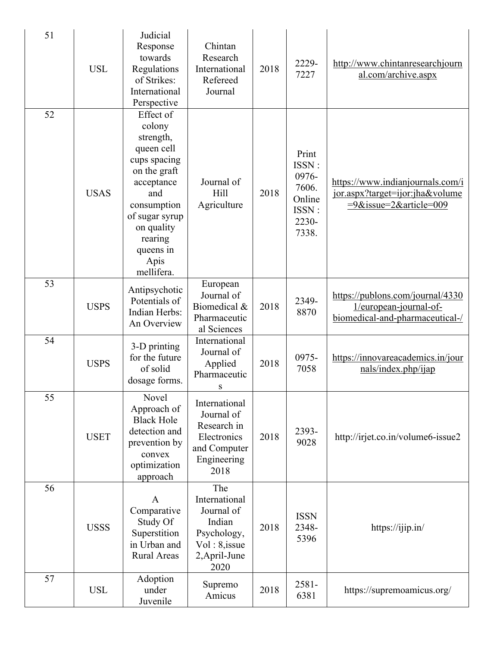| 51 | <b>USL</b>  | Judicial<br>Response<br>towards<br>Regulations<br>of Strikes:<br>International<br>Perspective                                                                                                    | Chintan<br>Research<br>International<br>Refereed<br>Journal                                              | 2018 | 2229-<br>7227                                                         | http://www.chintanresearchjourn<br>al.com/archive.aspx                                        |
|----|-------------|--------------------------------------------------------------------------------------------------------------------------------------------------------------------------------------------------|----------------------------------------------------------------------------------------------------------|------|-----------------------------------------------------------------------|-----------------------------------------------------------------------------------------------|
| 52 | <b>USAS</b> | Effect of<br>colony<br>strength,<br>queen cell<br>cups spacing<br>on the graft<br>acceptance<br>and<br>consumption<br>of sugar syrup<br>on quality<br>rearing<br>queens in<br>Apis<br>mellifera. | Journal of<br>Hill<br>Agriculture                                                                        | 2018 | Print<br>ISSN:<br>0976-<br>7606.<br>Online<br>ISSN:<br>2230-<br>7338. | https://www.indianjournals.com/i<br>jor.aspx?target=ijor:jha&volume<br>=9&issue=2&article=009 |
| 53 | <b>USPS</b> | Antipsychotic<br>Potentials of<br>Indian Herbs:<br>An Overview                                                                                                                                   | European<br>Journal of<br>Biomedical &<br>Pharmaceutic<br>al Sciences                                    | 2018 | 2349-<br>8870                                                         | https://publons.com/journal/4330<br>1/european-journal-of-<br>biomedical-and-pharmaceutical-/ |
| 54 | <b>USPS</b> | 3-D printing<br>for the future<br>of solid<br>dosage forms.                                                                                                                                      | International<br>Journal of<br>Applied<br>Pharmaceutic<br>S                                              | 2018 | 0975-<br>7058                                                         | https://innovareacademics.in/jour<br>nals/index.php/ijap                                      |
| 55 | <b>USET</b> | Novel<br>Approach of<br><b>Black Hole</b><br>detection and<br>prevention by<br>convex<br>optimization<br>approach                                                                                | International<br>Journal of<br>Research in<br>Electronics<br>and Computer<br>Engineering<br>2018         | 2018 | 2393-<br>9028                                                         | http://irjet.co.in/volume6-issue2                                                             |
| 56 | <b>USSS</b> | A<br>Comparative<br>Study Of<br>Superstition<br>in Urban and<br><b>Rural Areas</b>                                                                                                               | The<br>International<br>Journal of<br>Indian<br>Psychology,<br>$Vol: 8$ , issue<br>2, April-June<br>2020 | 2018 | <b>ISSN</b><br>2348-<br>5396                                          | https://ijip.in/                                                                              |
| 57 | <b>USL</b>  | Adoption<br>under<br>Juvenile                                                                                                                                                                    | Supremo<br>Amicus                                                                                        | 2018 | 2581-<br>6381                                                         | https://supremoamicus.org/                                                                    |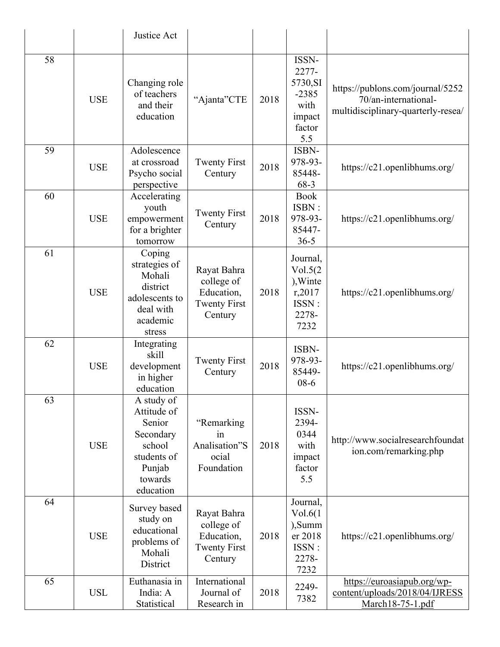|    |            | Justice Act                                                                                                 |                                                                           |      |                                                                          |                                                                                                |
|----|------------|-------------------------------------------------------------------------------------------------------------|---------------------------------------------------------------------------|------|--------------------------------------------------------------------------|------------------------------------------------------------------------------------------------|
| 58 | <b>USE</b> | Changing role<br>of teachers<br>and their<br>education                                                      | "Ajanta"CTE                                                               | 2018 | ISSN-<br>2277-<br>5730, SI<br>$-2385$<br>with<br>impact<br>factor<br>5.5 | https://publons.com/journal/5252<br>70/an-international-<br>multidisciplinary-quarterly-resea/ |
| 59 | <b>USE</b> | Adolescence<br>at crossroad<br>Psycho social<br>perspective                                                 | <b>Twenty First</b><br>Century                                            | 2018 | ISBN-<br>978-93-<br>85448-<br>68-3                                       | https://c21.openlibhums.org/                                                                   |
| 60 | <b>USE</b> | Accelerating<br>youth<br>empowerment<br>for a brighter<br>tomorrow                                          | <b>Twenty First</b><br>Century                                            | 2018 | <b>Book</b><br>ISBN:<br>978-93-<br>85447-<br>$36 - 5$                    | https://c21.openlibhums.org/                                                                   |
| 61 | <b>USE</b> | Coping<br>strategies of<br>Mohali<br>district<br>adolescents to<br>deal with<br>academic<br>stress          | Rayat Bahra<br>college of<br>Education,<br><b>Twenty First</b><br>Century | 2018 | Journal,<br>Vol.5(2)<br>), Winte<br>r,2017<br>ISSN:<br>2278-<br>7232     | https://c21.openlibhums.org/                                                                   |
| 62 | <b>USE</b> | Integrating<br>skill<br>development<br>in higher<br>education                                               | <b>Twenty First</b><br>Century                                            | 2018 | ISBN-<br>978-93-<br>85449-<br>$08-6$                                     | https://c21.openlibhums.org/                                                                   |
| 63 | <b>USE</b> | A study of<br>Attitude of<br>Senior<br>Secondary<br>school<br>students of<br>Punjab<br>towards<br>education | "Remarking<br>in<br>Analisation"S<br>ocial<br>Foundation                  | 2018 | ISSN-<br>2394-<br>0344<br>with<br>impact<br>factor<br>5.5                | http://www.socialresearchfoundat<br>ion.com/remarking.php                                      |
| 64 | <b>USE</b> | Survey based<br>study on<br>educational<br>problems of<br>Mohali<br>District                                | Rayat Bahra<br>college of<br>Education,<br><b>Twenty First</b><br>Century | 2018 | Journal,<br>Vol.6(1)<br>),Summ<br>er 2018<br>ISSN:<br>2278-<br>7232      | https://c21.openlibhums.org/                                                                   |
| 65 | <b>USL</b> | Euthanasia in<br>India: A<br>Statistical                                                                    | International<br>Journal of<br>Research in                                | 2018 | 2249-<br>7382                                                            | https://euroasiapub.org/wp-<br>content/uploads/2018/04/IJRESS<br>March18-75-1.pdf              |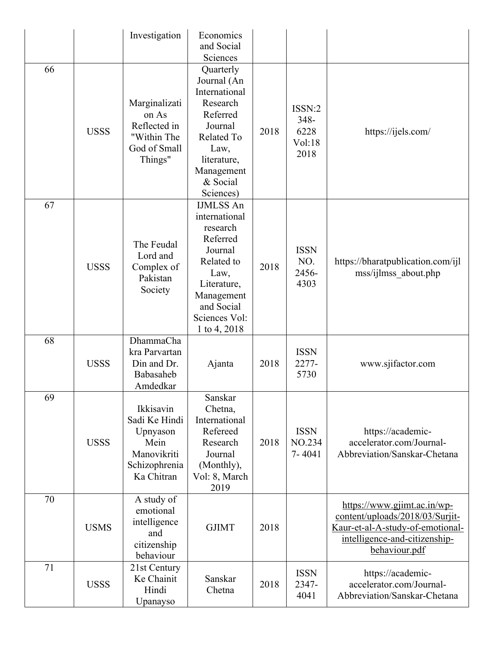|    |             | Investigation                                                                                | Economics<br>and Social<br>Sciences                                                                                                                                    |      |                                          |                                                                                                                                                      |
|----|-------------|----------------------------------------------------------------------------------------------|------------------------------------------------------------------------------------------------------------------------------------------------------------------------|------|------------------------------------------|------------------------------------------------------------------------------------------------------------------------------------------------------|
| 66 | <b>USSS</b> | Marginalizati<br>on As<br>Reflected in<br>"Within The<br>God of Small<br>Things"             | Quarterly<br>Journal (An<br>International<br>Research<br>Referred<br>Journal<br>Related To<br>Law,<br>literature,<br>Management<br>& Social<br>Sciences)               | 2018 | ISSN:2<br>348-<br>6228<br>Vol:18<br>2018 | https://ijels.com/                                                                                                                                   |
| 67 | <b>USSS</b> | The Feudal<br>Lord and<br>Complex of<br>Pakistan<br>Society                                  | <b>IJMLSS An</b><br>international<br>research<br>Referred<br>Journal<br>Related to<br>Law,<br>Literature,<br>Management<br>and Social<br>Sciences Vol:<br>1 to 4, 2018 | 2018 | <b>ISSN</b><br>NO.<br>2456-<br>4303      | https://bharatpublication.com/ijl<br>mss/ijlmss about.php                                                                                            |
| 68 | <b>USSS</b> | DhammaCha<br>kra Parvartan<br>Din and Dr.<br>Babasaheb<br>Amdedkar                           | Ajanta                                                                                                                                                                 | 2018 | <b>ISSN</b><br>2277-<br>5730             | www.sjifactor.com                                                                                                                                    |
| 69 | <b>USSS</b> | Ikkisavin<br>Sadi Ke Hindi<br>Upnyason<br>Mein<br>Manovikriti<br>Schizophrenia<br>Ka Chitran | Sanskar<br>Chetna,<br>International<br>Refereed<br>Research<br>Journal<br>(Monthly),<br>Vol: 8, March<br>2019                                                          | 2018 | <b>ISSN</b><br>NO.234<br>7-4041          | https://academic-<br>accelerator.com/Journal-<br>Abbreviation/Sanskar-Chetana                                                                        |
| 70 | <b>USMS</b> | A study of<br>emotional<br>intelligence<br>and<br>citizenship<br>behaviour                   | <b>GJIMT</b>                                                                                                                                                           | 2018 |                                          | https://www.gjimt.ac.in/wp-<br>content/uploads/2018/03/Surjit-<br>Kaur-et-al-A-study-of-emotional-<br>intelligence-and-citizenship-<br>behaviour.pdf |
| 71 | <b>USSS</b> | 21st Century<br>Ke Chainit<br>Hindi<br>Upanayso                                              | Sanskar<br>Chetna                                                                                                                                                      | 2018 | <b>ISSN</b><br>2347-<br>4041             | https://academic-<br>accelerator.com/Journal-<br>Abbreviation/Sanskar-Chetana                                                                        |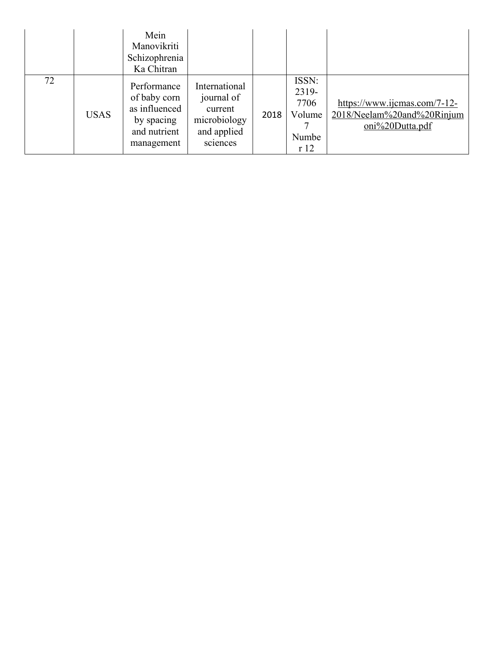|    |             | Mein<br>Manovikriti<br>Schizophrenia<br>Ka Chitran                                       |                                                                                   |      |                                                  |                                                                               |
|----|-------------|------------------------------------------------------------------------------------------|-----------------------------------------------------------------------------------|------|--------------------------------------------------|-------------------------------------------------------------------------------|
| 72 | <b>USAS</b> | Performance<br>of baby corn<br>as influenced<br>by spacing<br>and nutrient<br>management | International<br>journal of<br>current<br>microbiology<br>and applied<br>sciences | 2018 | ISSN:<br>2319-<br>7706<br>Volume<br>Numbe<br>r12 | https://www.ijcmas.com/7-12-<br>2018/Neelam%20and%20Rinjum<br>oni%20Dutta.pdf |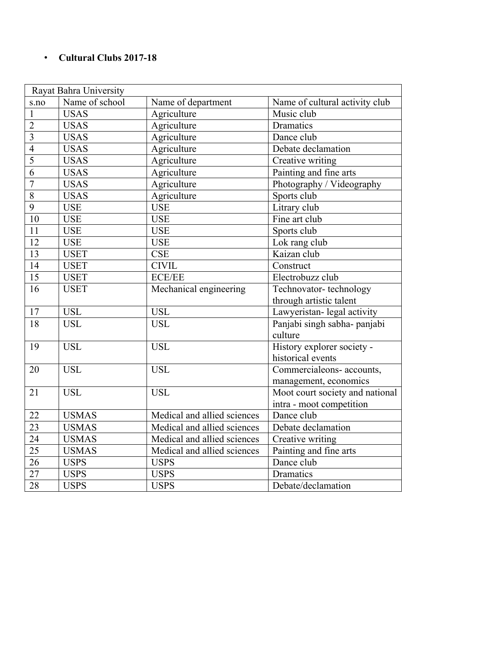#### • **Cultural Clubs 2017-18**

| Rayat Bahra University |                |                             |                                 |  |  |
|------------------------|----------------|-----------------------------|---------------------------------|--|--|
| s.no                   | Name of school | Name of department          | Name of cultural activity club  |  |  |
| $\mathbf{1}$           | <b>USAS</b>    | Agriculture                 | Music club                      |  |  |
| $\overline{2}$         | <b>USAS</b>    | Agriculture                 | Dramatics                       |  |  |
| $\overline{3}$         | <b>USAS</b>    | Agriculture                 | Dance club                      |  |  |
| $\overline{4}$         | <b>USAS</b>    | Agriculture                 | Debate declamation              |  |  |
| $\overline{5}$         | <b>USAS</b>    | Agriculture                 | Creative writing                |  |  |
| $\overline{6}$         | <b>USAS</b>    | Agriculture                 | Painting and fine arts          |  |  |
| $\overline{7}$         | <b>USAS</b>    | Agriculture                 | Photography / Videography       |  |  |
| $\overline{8}$         | <b>USAS</b>    | Agriculture                 | Sports club                     |  |  |
| 9                      | <b>USE</b>     | <b>USE</b>                  | Litrary club                    |  |  |
| 10                     | <b>USE</b>     | <b>USE</b>                  | Fine art club                   |  |  |
| 11                     | <b>USE</b>     | <b>USE</b>                  | Sports club                     |  |  |
| 12                     | <b>USE</b>     | <b>USE</b>                  | Lok rang club                   |  |  |
| 13                     | <b>USET</b>    | CSE                         | Kaizan club                     |  |  |
| 14                     | <b>USET</b>    | <b>CIVIL</b>                | Construct                       |  |  |
| 15                     | <b>USET</b>    | <b>ECE/EE</b>               | Electrobuzz club                |  |  |
| 16                     | <b>USET</b>    | Mechanical engineering      | Technovator-technology          |  |  |
|                        |                |                             | through artistic talent         |  |  |
| 17                     | <b>USL</b>     | <b>USL</b>                  | Lawyeristan- legal activity     |  |  |
| 18                     | <b>USL</b>     | <b>USL</b>                  | Panjabi singh sabha- panjabi    |  |  |
|                        |                |                             | culture                         |  |  |
| 19                     | <b>USL</b>     | <b>USL</b>                  | History explorer society -      |  |  |
|                        |                |                             | historical events               |  |  |
| 20                     | <b>USL</b>     | <b>USL</b>                  | Commercialeons- accounts,       |  |  |
|                        |                |                             | management, economics           |  |  |
| 21                     | <b>USL</b>     | <b>USL</b>                  | Moot court society and national |  |  |
|                        |                |                             | intra - moot competition        |  |  |
| 22                     | <b>USMAS</b>   | Medical and allied sciences | Dance club                      |  |  |
| 23                     | <b>USMAS</b>   | Medical and allied sciences | Debate declamation              |  |  |
| 24                     | <b>USMAS</b>   | Medical and allied sciences | Creative writing                |  |  |
| 25                     | <b>USMAS</b>   | Medical and allied sciences | Painting and fine arts          |  |  |
| 26                     | <b>USPS</b>    | <b>USPS</b>                 | Dance club                      |  |  |
| 27                     | <b>USPS</b>    | <b>USPS</b>                 | Dramatics                       |  |  |
| 28                     | <b>USPS</b>    | <b>USPS</b>                 | Debate/declamation              |  |  |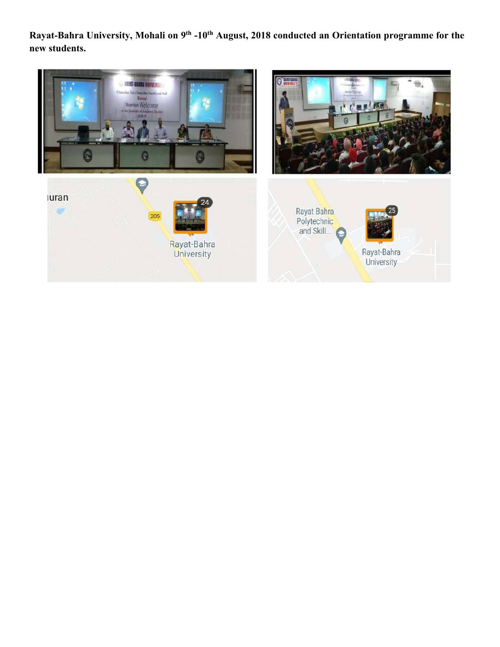**Rayat-Bahra University, Mohali on 9th -10th August, 2018 conducted an Orientation programme for the new students.**

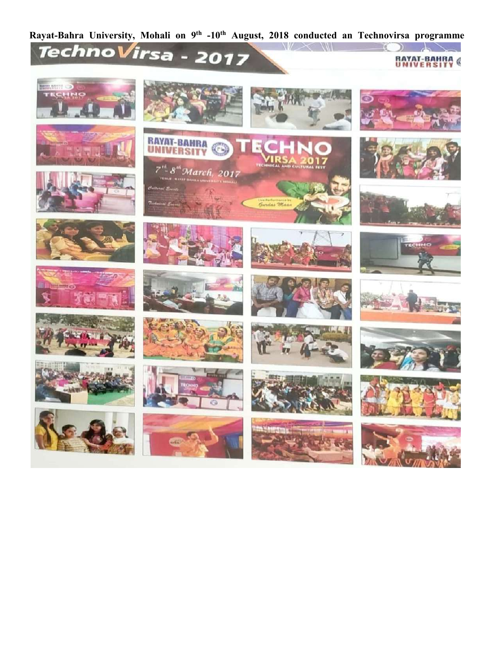# Rayat-Bahra University, Mohali on 9<sup>th</sup> -10<sup>th</sup> August, 2018 conducted an Technovirsa programme<br> **Techno Virsa - 2017**



























 $W \times W$ 



**RAYAT-BAHRA** 

 $\mathcal{H}^{\prime}$